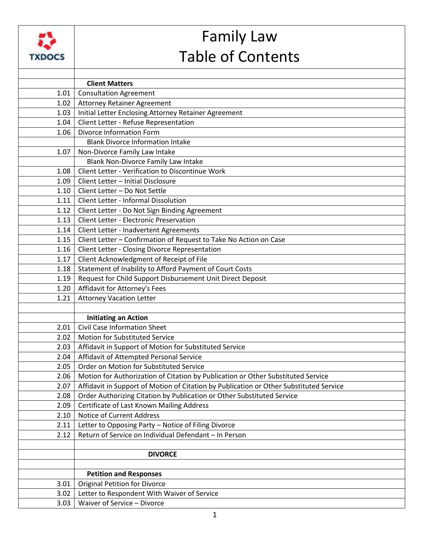|               | <b>Family Law</b>                                                                                                     |
|---------------|-----------------------------------------------------------------------------------------------------------------------|
| <b>TXDOCS</b> | <b>Table of Contents</b>                                                                                              |
|               |                                                                                                                       |
|               | <b>Client Matters</b>                                                                                                 |
| 1.01          | <b>Consultation Agreement</b>                                                                                         |
| 1.02          | <b>Attorney Retainer Agreement</b>                                                                                    |
| 1.03          | Initial Letter Enclosing Attorney Retainer Agreement                                                                  |
| 1.04          | Client Letter - Refuse Representation                                                                                 |
| 1.06          | Divorce Information Form                                                                                              |
|               | <b>Blank Divorce Information Intake</b>                                                                               |
| 1.07          | Non-Divorce Family Law Intake                                                                                         |
|               | Blank Non-Divorce Family Law Intake                                                                                   |
| 1.08          | Client Letter - Verification to Discontinue Work                                                                      |
| 1.09          | Client Letter - Initial Disclosure                                                                                    |
| 1.10          | Client Letter - Do Not Settle                                                                                         |
| 1.11          | <b>Client Letter - Informal Dissolution</b>                                                                           |
| 1.12          | Client Letter - Do Not Sign Binding Agreement                                                                         |
| 1.13          | <b>Client Letter - Electronic Preservation</b>                                                                        |
| 1.14          | Client Letter - Inadvertent Agreements                                                                                |
| 1.15          | Client Letter - Confirmation of Request to Take No Action on Case                                                     |
| 1.16          | Client Letter - Closing Divorce Representation                                                                        |
| 1.17          | Client Acknowledgment of Receipt of File                                                                              |
| 1.18<br>1.19  | Statement of Inability to Afford Payment of Court Costs<br>Request for Child Support Disbursement Unit Direct Deposit |
| 1.20          | Affidavit for Attorney's Fees                                                                                         |
| 1.21          | <b>Attorney Vacation Letter</b>                                                                                       |
|               |                                                                                                                       |
|               | <b>Initiating an Action</b>                                                                                           |
| 2.01          | <b>Civil Case Information Sheet</b>                                                                                   |
| 2.02          | Motion for Substituted Service                                                                                        |
| 2.03          | Affidavit in Support of Motion for Substituted Service                                                                |
| 2.04          | Affidavit of Attempted Personal Service                                                                               |
| 2.05          | Order on Motion for Substituted Service                                                                               |
| 2.06          | Motion for Authorization of Citation by Publication or Other Substituted Service                                      |
| 2.07          | Affidavit in Support of Motion of Citation by Publication or Other Substituted Service                                |
| 2.08          | Order Authorizing Citation by Publication or Other Substituted Service                                                |
| 2.09          | Certificate of Last Known Mailing Address                                                                             |
| 2.10          | Notice of Current Address                                                                                             |
| 2.11          | Letter to Opposing Party - Notice of Filing Divorce                                                                   |
| 2.12          | Return of Service on Individual Defendant - In Person                                                                 |
|               |                                                                                                                       |
|               | <b>DIVORCE</b>                                                                                                        |
|               |                                                                                                                       |
|               | <b>Petition and Responses</b>                                                                                         |
| 3.01          | <b>Original Petition for Divorce</b>                                                                                  |
| 3.02          | Letter to Respondent With Waiver of Service                                                                           |
| 3.03          | Waiver of Service - Divorce                                                                                           |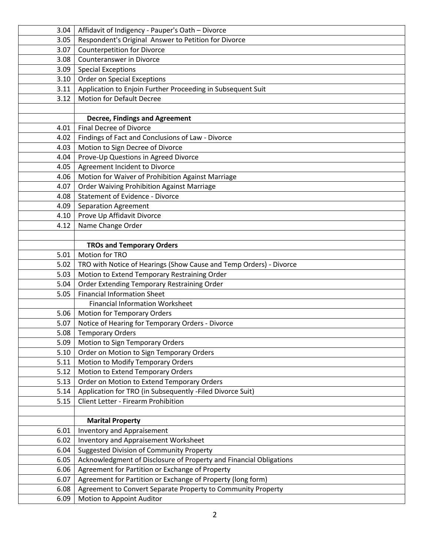| 3.04         | Affidavit of Indigency - Pauper's Oath - Divorce                          |
|--------------|---------------------------------------------------------------------------|
| 3.05         | Respondent's Original Answer to Petition for Divorce                      |
| 3.07         | <b>Counterpetition for Divorce</b>                                        |
| 3.08         | <b>Counteranswer in Divorce</b>                                           |
| 3.09         | <b>Special Exceptions</b>                                                 |
| 3.10         | Order on Special Exceptions                                               |
| 3.11         | Application to Enjoin Further Proceeding in Subsequent Suit               |
| 3.12         | <b>Motion for Default Decree</b>                                          |
|              |                                                                           |
|              | <b>Decree, Findings and Agreement</b>                                     |
| 4.01         | <b>Final Decree of Divorce</b>                                            |
| 4.02         | Findings of Fact and Conclusions of Law - Divorce                         |
| 4.03         | Motion to Sign Decree of Divorce                                          |
| 4.04         | Prove-Up Questions in Agreed Divorce                                      |
| 4.05         | Agreement Incident to Divorce                                             |
| 4.06         | Motion for Waiver of Prohibition Against Marriage                         |
| 4.07         | <b>Order Waiving Prohibition Against Marriage</b>                         |
| 4.08         | <b>Statement of Evidence - Divorce</b>                                    |
| 4.09         | <b>Separation Agreement</b>                                               |
| 4.10         | Prove Up Affidavit Divorce                                                |
| 4.12         | Name Change Order                                                         |
|              |                                                                           |
|              | <b>TROs and Temporary Orders</b>                                          |
| 5.01         | Motion for TRO                                                            |
| 5.02         | TRO with Notice of Hearings (Show Cause and Temp Orders) - Divorce        |
| 5.03         | Motion to Extend Temporary Restraining Order                              |
| 5.04         | Order Extending Temporary Restraining Order                               |
| 5.05         | <b>Financial Information Sheet</b>                                        |
|              | <b>Financial Information Worksheet</b>                                    |
| 5.06         | <b>Motion for Temporary Orders</b>                                        |
| 5.07         | Notice of Hearing for Temporary Orders - Divorce                          |
| 5.08         | <b>Temporary Orders</b>                                                   |
| 5.09         | Motion to Sign Temporary Orders                                           |
| 5.10         | Order on Motion to Sign Temporary Orders                                  |
| 5.11         | Motion to Modify Temporary Orders                                         |
| 5.12         | Motion to Extend Temporary Orders                                         |
| 5.13         | Order on Motion to Extend Temporary Orders                                |
| 5.14         | Application for TRO (in Subsequently -Filed Divorce Suit)                 |
| 5.15         | Client Letter - Firearm Prohibition                                       |
|              |                                                                           |
|              | <b>Marital Property</b>                                                   |
| 6.01<br>6.02 | <b>Inventory and Appraisement</b><br>Inventory and Appraisement Worksheet |
| 6.04         | <b>Suggested Division of Community Property</b>                           |
| 6.05         | Acknowledgment of Disclosure of Property and Financial Obligations        |
| 6.06         | Agreement for Partition or Exchange of Property                           |
| 6.07         | Agreement for Partition or Exchange of Property (long form)               |
| 6.08         | Agreement to Convert Separate Property to Community Property              |
| 6.09         |                                                                           |
|              | Motion to Appoint Auditor                                                 |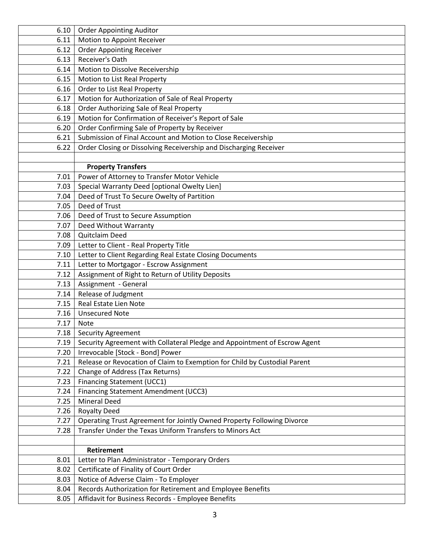| 6.10 | <b>Order Appointing Auditor</b>                                           |
|------|---------------------------------------------------------------------------|
| 6.11 | Motion to Appoint Receiver                                                |
| 6.12 | <b>Order Appointing Receiver</b>                                          |
| 6.13 | Receiver's Oath                                                           |
| 6.14 | Motion to Dissolve Receivership                                           |
| 6.15 | Motion to List Real Property                                              |
| 6.16 | Order to List Real Property                                               |
| 6.17 | Motion for Authorization of Sale of Real Property                         |
| 6.18 | Order Authorizing Sale of Real Property                                   |
| 6.19 | Motion for Confirmation of Receiver's Report of Sale                      |
| 6.20 | Order Confirming Sale of Property by Receiver                             |
| 6.21 | Submission of Final Account and Motion to Close Receivership              |
| 6.22 | Order Closing or Dissolving Receivership and Discharging Receiver         |
|      |                                                                           |
|      | <b>Property Transfers</b>                                                 |
| 7.01 | Power of Attorney to Transfer Motor Vehicle                               |
| 7.03 | Special Warranty Deed [optional Owelty Lien]                              |
| 7.04 | Deed of Trust To Secure Owelty of Partition                               |
| 7.05 | Deed of Trust                                                             |
| 7.06 | Deed of Trust to Secure Assumption                                        |
| 7.07 | Deed Without Warranty                                                     |
| 7.08 | <b>Quitclaim Deed</b>                                                     |
| 7.09 | Letter to Client - Real Property Title                                    |
| 7.10 | Letter to Client Regarding Real Estate Closing Documents                  |
| 7.11 | Letter to Mortgagor - Escrow Assignment                                   |
| 7.12 | Assignment of Right to Return of Utility Deposits                         |
| 7.13 | Assignment - General                                                      |
| 7.14 | Release of Judgment                                                       |
| 7.15 | Real Estate Lien Note                                                     |
| 7.16 | <b>Unsecured Note</b>                                                     |
| 7.17 | <b>Note</b>                                                               |
| 7.18 | <b>Security Agreement</b>                                                 |
| 7.19 | Security Agreement with Collateral Pledge and Appointment of Escrow Agent |
| 7.20 | Irrevocable [Stock - Bond] Power                                          |
| 7.21 | Release or Revocation of Claim to Exemption for Child by Custodial Parent |
| 7.22 | Change of Address (Tax Returns)                                           |
| 7.23 | Financing Statement (UCC1)                                                |
| 7.24 | Financing Statement Amendment (UCC3)                                      |
| 7.25 | <b>Mineral Deed</b>                                                       |
| 7.26 | <b>Royalty Deed</b>                                                       |
| 7.27 | Operating Trust Agreement for Jointly Owned Property Following Divorce    |
| 7.28 | Transfer Under the Texas Uniform Transfers to Minors Act                  |
|      |                                                                           |
|      | <b>Retirement</b>                                                         |
| 8.01 | Letter to Plan Administrator - Temporary Orders                           |
| 8.02 | Certificate of Finality of Court Order                                    |
| 8.03 | Notice of Adverse Claim - To Employer                                     |
| 8.04 | Records Authorization for Retirement and Employee Benefits                |
| 8.05 | Affidavit for Business Records - Employee Benefits                        |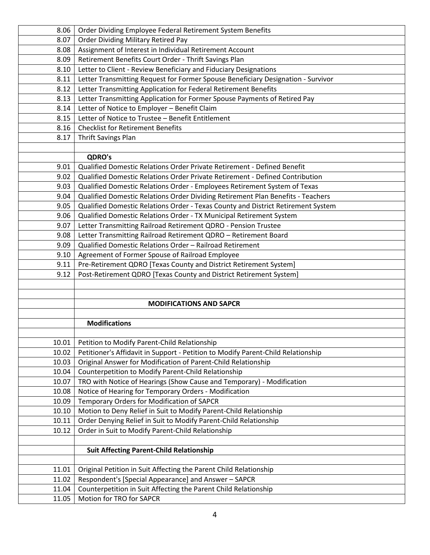| 8.06  | Order Dividing Employee Federal Retirement System Benefits                       |
|-------|----------------------------------------------------------------------------------|
| 8.07  | <b>Order Dividing Military Retired Pay</b>                                       |
| 8.08  | Assignment of Interest in Individual Retirement Account                          |
| 8.09  | Retirement Benefits Court Order - Thrift Savings Plan                            |
| 8.10  | Letter to Client - Review Beneficiary and Fiduciary Designations                 |
| 8.11  | Letter Transmitting Request for Former Spouse Beneficiary Designation - Survivor |
| 8.12  | Letter Transmitting Application for Federal Retirement Benefits                  |
| 8.13  | Letter Transmitting Application for Former Spouse Payments of Retired Pay        |
| 8.14  | Letter of Notice to Employer - Benefit Claim                                     |
| 8.15  | Letter of Notice to Trustee - Benefit Entitlement                                |
| 8.16  | <b>Checklist for Retirement Benefits</b>                                         |
| 8.17  | Thrift Savings Plan                                                              |
|       |                                                                                  |
|       | <b>QDRO's</b>                                                                    |
| 9.01  | Qualified Domestic Relations Order Private Retirement - Defined Benefit          |
| 9.02  | Qualified Domestic Relations Order Private Retirement - Defined Contribution     |
| 9.03  | Qualified Domestic Relations Order - Employees Retirement System of Texas        |
| 9.04  | Qualified Domestic Relations Order Dividing Retirement Plan Benefits - Teachers  |
| 9.05  | Qualified Domestic Relations Order - Texas County and District Retirement System |
| 9.06  | Qualified Domestic Relations Order - TX Municipal Retirement System              |
| 9.07  | Letter Transmitting Railroad Retirement QDRO - Pension Trustee                   |
| 9.08  | Letter Transmitting Railroad Retirement QDRO - Retirement Board                  |
| 9.09  | Qualified Domestic Relations Order - Railroad Retirement                         |
| 9.10  | Agreement of Former Spouse of Railroad Employee                                  |
| 9.11  | Pre-Retirement QDRO [Texas County and District Retirement System]                |
| 9.12  | Post-Retirement QDRO [Texas County and District Retirement System]               |
|       |                                                                                  |
|       |                                                                                  |
|       | <b>MODIFICATIONS AND SAPCR</b>                                                   |
|       | <b>Modifications</b>                                                             |
|       |                                                                                  |
| 10.01 | Petition to Modify Parent-Child Relationship                                     |
| 10.02 | Petitioner's Affidavit in Support - Petition to Modify Parent-Child Relationship |
| 10.03 | Original Answer for Modification of Parent-Child Relationship                    |
| 10.04 | Counterpetition to Modify Parent-Child Relationship                              |
| 10.07 | TRO with Notice of Hearings (Show Cause and Temporary) - Modification            |
| 10.08 | Notice of Hearing for Temporary Orders - Modification                            |
| 10.09 | Temporary Orders for Modification of SAPCR                                       |
| 10.10 | Motion to Deny Relief in Suit to Modify Parent-Child Relationship                |
| 10.11 | Order Denying Relief in Suit to Modify Parent-Child Relationship                 |
| 10.12 | Order in Suit to Modify Parent-Child Relationship                                |
|       |                                                                                  |
|       | <b>Suit Affecting Parent-Child Relationship</b>                                  |
|       |                                                                                  |
| 11.01 | Original Petition in Suit Affecting the Parent Child Relationship                |
| 11.02 | Respondent's [Special Appearance] and Answer - SAPCR                             |
| 11.04 | Counterpetition in Suit Affecting the Parent Child Relationship                  |
| 11.05 | Motion for TRO for SAPCR                                                         |
|       |                                                                                  |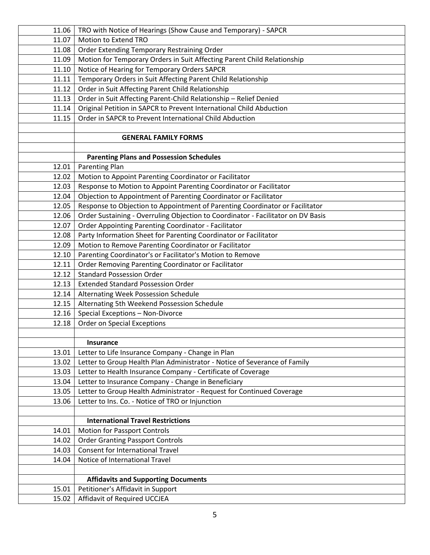| 11.06 | TRO with Notice of Hearings (Show Cause and Temporary) - SAPCR                   |
|-------|----------------------------------------------------------------------------------|
| 11.07 | Motion to Extend TRO                                                             |
| 11.08 | Order Extending Temporary Restraining Order                                      |
| 11.09 | Motion for Temporary Orders in Suit Affecting Parent Child Relationship          |
| 11.10 | Notice of Hearing for Temporary Orders SAPCR                                     |
| 11.11 | Temporary Orders in Suit Affecting Parent Child Relationship                     |
| 11.12 | Order in Suit Affecting Parent Child Relationship                                |
| 11.13 | Order in Suit Affecting Parent-Child Relationship - Relief Denied                |
| 11.14 | Original Petition in SAPCR to Prevent International Child Abduction              |
| 11.15 | Order in SAPCR to Prevent International Child Abduction                          |
|       |                                                                                  |
|       | <b>GENERAL FAMILY FORMS</b>                                                      |
|       |                                                                                  |
|       | <b>Parenting Plans and Possession Schedules</b>                                  |
| 12.01 | <b>Parenting Plan</b>                                                            |
| 12.02 | Motion to Appoint Parenting Coordinator or Facilitator                           |
| 12.03 | Response to Motion to Appoint Parenting Coordinator or Facilitator               |
| 12.04 | Objection to Appointment of Parenting Coordinator or Facilitator                 |
| 12.05 | Response to Objection to Appointment of Parenting Coordinator or Facilitator     |
| 12.06 | Order Sustaining - Overruling Objection to Coordinator - Facilitator on DV Basis |
| 12.07 | <b>Order Appointing Parenting Coordinator - Facilitator</b>                      |
| 12.08 | Party Information Sheet for Parenting Coordinator or Facilitator                 |
| 12.09 | Motion to Remove Parenting Coordinator or Facilitator                            |
| 12.10 | Parenting Coordinator's or Facilitator's Motion to Remove                        |
| 12.11 | Order Removing Parenting Coordinator or Facilitator                              |
| 12.12 | <b>Standard Possession Order</b>                                                 |
| 12.13 | <b>Extended Standard Possession Order</b>                                        |
| 12.14 | Alternating Week Possession Schedule                                             |
| 12.15 | Alternating 5th Weekend Possession Schedule                                      |
| 12.16 | Special Exceptions - Non-Divorce                                                 |
| 12.18 | <b>Order on Special Exceptions</b>                                               |
|       |                                                                                  |
|       | Insurance                                                                        |
| 13.01 | Letter to Life Insurance Company - Change in Plan                                |
| 13.02 | Letter to Group Health Plan Administrator - Notice of Severance of Family        |
| 13.03 | Letter to Health Insurance Company - Certificate of Coverage                     |
| 13.04 | Letter to Insurance Company - Change in Beneficiary                              |
| 13.05 | Letter to Group Health Administrator - Request for Continued Coverage            |
| 13.06 | Letter to Ins. Co. - Notice of TRO or Injunction                                 |
|       | <b>International Travel Restrictions</b>                                         |
| 14.01 | <b>Motion for Passport Controls</b>                                              |
| 14.02 | <b>Order Granting Passport Controls</b>                                          |
| 14.03 | <b>Consent for International Travel</b>                                          |
| 14.04 | Notice of International Travel                                                   |
|       |                                                                                  |
|       | <b>Affidavits and Supporting Documents</b>                                       |
| 15.01 | Petitioner's Affidavit in Support                                                |
| 15.02 | Affidavit of Required UCCJEA                                                     |
|       |                                                                                  |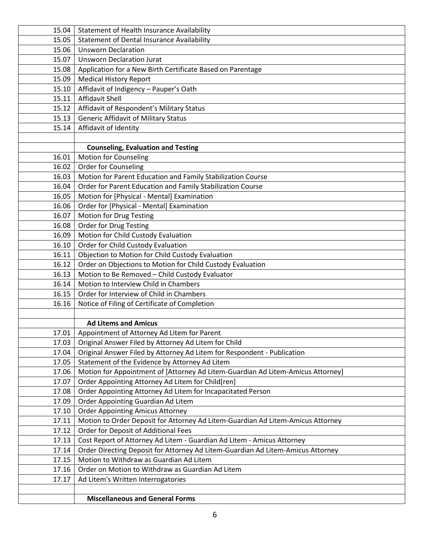| 15.04 | Statement of Health Insurance Availability                                                          |
|-------|-----------------------------------------------------------------------------------------------------|
| 15.05 | <b>Statement of Dental Insurance Availability</b>                                                   |
| 15.06 | <b>Unsworn Declaration</b>                                                                          |
| 15.07 | <b>Unsworn Declaration Jurat</b>                                                                    |
| 15.08 | Application for a New Birth Certificate Based on Parentage                                          |
| 15.09 | <b>Medical History Report</b>                                                                       |
| 15.10 | Affidavit of Indigency - Pauper's Oath                                                              |
| 15.11 | <b>Affidavit Shell</b>                                                                              |
| 15.12 | Affidavit of Respondent's Military Status                                                           |
| 15.13 | <b>Generic Affidavit of Military Status</b>                                                         |
| 15.14 | Affidavit of Identity                                                                               |
|       |                                                                                                     |
|       | <b>Counseling, Evaluation and Testing</b>                                                           |
| 16.01 | <b>Motion for Counseling</b>                                                                        |
| 16.02 | Order for Counseling                                                                                |
| 16.03 | Motion for Parent Education and Family Stabilization Course                                         |
| 16.04 | Order for Parent Education and Family Stabilization Course                                          |
| 16.05 | Motion for [Physical - Mental] Examination                                                          |
| 16.06 | Order for [Physical - Mental] Examination                                                           |
| 16.07 | <b>Motion for Drug Testing</b>                                                                      |
| 16.08 | <b>Order for Drug Testing</b>                                                                       |
| 16.09 | Motion for Child Custody Evaluation                                                                 |
| 16.10 | Order for Child Custody Evaluation                                                                  |
| 16.11 | Objection to Motion for Child Custody Evaluation                                                    |
| 16.12 | Order on Objections to Motion for Child Custody Evaluation                                          |
| 16.13 | Motion to Be Removed - Child Custody Evaluator                                                      |
| 16.14 | Motion to Interview Child in Chambers                                                               |
| 16.15 | Order for Interview of Child in Chambers                                                            |
| 16.16 | Notice of Filing of Certificate of Completion                                                       |
|       |                                                                                                     |
| 17.01 | <b>Ad Litems and Amicus</b>                                                                         |
| 17.03 | Appointment of Attorney Ad Litem for Parent<br>Original Answer Filed by Attorney Ad Litem for Child |
| 17.04 | Original Answer Filed by Attorney Ad Litem for Respondent - Publication                             |
| 17.05 | Statement of the Evidence by Attorney Ad Litem                                                      |
| 17.06 | Motion for Appointment of [Attorney Ad Litem-Guardian Ad Litem-Amicus Attorney]                     |
| 17.07 | Order Appointing Attorney Ad Litem for Child[ren]                                                   |
| 17.08 | Order Appointing Attorney Ad Litem for Incapacitated Person                                         |
| 17.09 | Order Appointing Guardian Ad Litem                                                                  |
| 17.10 | <b>Order Appointing Amicus Attorney</b>                                                             |
| 17.11 | Motion to Order Deposit for Attorney Ad Litem-Guardian Ad Litem-Amicus Attorney                     |
| 17.12 | Order for Deposit of Additional Fees                                                                |
| 17.13 | Cost Report of Attorney Ad Litem - Guardian Ad Litem - Amicus Attorney                              |
| 17.14 | Order Directing Deposit for Attorney Ad Litem-Guardian Ad Litem-Amicus Attorney                     |
| 17.15 | Motion to Withdraw as Guardian Ad Litem                                                             |
| 17.16 | Order on Motion to Withdraw as Guardian Ad Litem                                                    |
| 17.17 | Ad Litem's Written Interrogatories                                                                  |
|       |                                                                                                     |
|       | <b>Miscellaneous and General Forms</b>                                                              |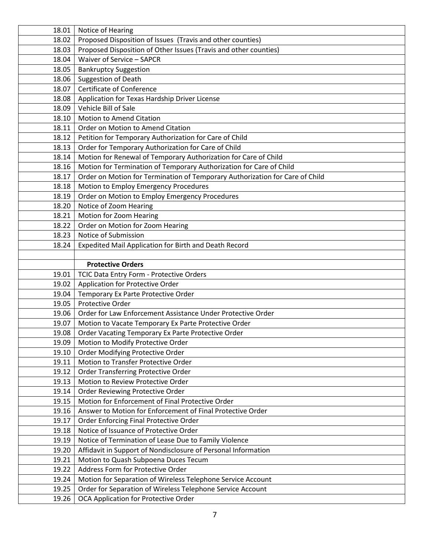| 18.01 | Notice of Hearing                                                            |
|-------|------------------------------------------------------------------------------|
| 18.02 | Proposed Disposition of Issues (Travis and other counties)                   |
| 18.03 | Proposed Disposition of Other Issues (Travis and other counties)             |
| 18.04 | Waiver of Service - SAPCR                                                    |
| 18.05 | <b>Bankruptcy Suggestion</b>                                                 |
| 18.06 | Suggestion of Death                                                          |
| 18.07 | <b>Certificate of Conference</b>                                             |
| 18.08 | Application for Texas Hardship Driver License                                |
| 18.09 | Vehicle Bill of Sale                                                         |
| 18.10 | <b>Motion to Amend Citation</b>                                              |
| 18.11 | Order on Motion to Amend Citation                                            |
| 18.12 | Petition for Temporary Authorization for Care of Child                       |
| 18.13 | Order for Temporary Authorization for Care of Child                          |
| 18.14 | Motion for Renewal of Temporary Authorization for Care of Child              |
| 18.16 | Motion for Termination of Temporary Authorization for Care of Child          |
| 18.17 | Order on Motion for Termination of Temporary Authorization for Care of Child |
| 18.18 | Motion to Employ Emergency Procedures                                        |
| 18.19 | Order on Motion to Employ Emergency Procedures                               |
| 18.20 | Notice of Zoom Hearing                                                       |
| 18.21 | Motion for Zoom Hearing                                                      |
| 18.22 | Order on Motion for Zoom Hearing                                             |
| 18.23 | Notice of Submission                                                         |
| 18.24 | Expedited Mail Application for Birth and Death Record                        |
|       |                                                                              |
|       | <b>Protective Orders</b>                                                     |
| 19.01 | TCIC Data Entry Form - Protective Orders                                     |
| 19.02 | Application for Protective Order                                             |
| 19.04 | Temporary Ex Parte Protective Order                                          |
| 19.05 | Protective Order                                                             |
| 19.06 | Order for Law Enforcement Assistance Under Protective Order                  |
| 19.07 | Motion to Vacate Temporary Ex Parte Protective Order                         |
| 19.08 | Order Vacating Temporary Ex Parte Protective Order                           |
| 19.09 | Motion to Modify Protective Order                                            |
| 19.10 | Order Modifying Protective Order                                             |
| 19.11 | Motion to Transfer Protective Order                                          |
| 19.12 | Order Transferring Protective Order                                          |
| 19.13 | Motion to Review Protective Order                                            |
| 19.14 | Order Reviewing Protective Order                                             |
| 19.15 | Motion for Enforcement of Final Protective Order                             |
| 19.16 | Answer to Motion for Enforcement of Final Protective Order                   |
| 19.17 | Order Enforcing Final Protective Order                                       |
| 19.18 | Notice of Issuance of Protective Order                                       |
| 19.19 | Notice of Termination of Lease Due to Family Violence                        |
| 19.20 | Affidavit in Support of Nondisclosure of Personal Information                |
| 19.21 | Motion to Quash Subpoena Duces Tecum                                         |
| 19.22 | Address Form for Protective Order                                            |
| 19.24 | Motion for Separation of Wireless Telephone Service Account                  |
| 19.25 | Order for Separation of Wireless Telephone Service Account                   |
| 19.26 | OCA Application for Protective Order                                         |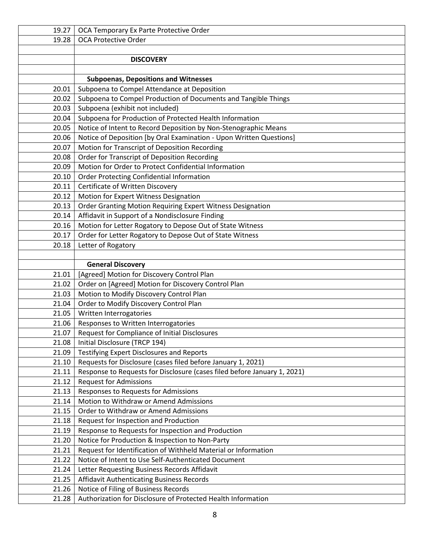| 19.27 | OCA Temporary Ex Parte Protective Order                                  |
|-------|--------------------------------------------------------------------------|
| 19.28 | OCA Protective Order                                                     |
|       |                                                                          |
|       | <b>DISCOVERY</b>                                                         |
|       |                                                                          |
|       | <b>Subpoenas, Depositions and Witnesses</b>                              |
| 20.01 | Subpoena to Compel Attendance at Deposition                              |
| 20.02 | Subpoena to Compel Production of Documents and Tangible Things           |
| 20.03 | Subpoena (exhibit not included)                                          |
| 20.04 | Subpoena for Production of Protected Health Information                  |
| 20.05 | Notice of Intent to Record Deposition by Non-Stenographic Means          |
| 20.06 | Notice of Deposition [by Oral Examination - Upon Written Questions]      |
| 20.07 | Motion for Transcript of Deposition Recording                            |
| 20.08 | Order for Transcript of Deposition Recording                             |
| 20.09 | Motion for Order to Protect Confidential Information                     |
| 20.10 | Order Protecting Confidential Information                                |
| 20.11 | Certificate of Written Discovery                                         |
| 20.12 | Motion for Expert Witness Designation                                    |
| 20.13 | Order Granting Motion Requiring Expert Witness Designation               |
| 20.14 | Affidavit in Support of a Nondisclosure Finding                          |
| 20.16 | Motion for Letter Rogatory to Depose Out of State Witness                |
| 20.17 | Order for Letter Rogatory to Depose Out of State Witness                 |
| 20.18 | Letter of Rogatory                                                       |
|       |                                                                          |
|       | <b>General Discovery</b>                                                 |
| 21.01 | [Agreed] Motion for Discovery Control Plan                               |
| 21.02 | Order on [Agreed] Motion for Discovery Control Plan                      |
| 21.03 | Motion to Modify Discovery Control Plan                                  |
| 21.04 | Order to Modify Discovery Control Plan                                   |
| 21.05 | Written Interrogatories                                                  |
| 21.06 | Responses to Written Interrogatories                                     |
| 21.07 | Request for Compliance of Initial Disclosures                            |
| 21.08 | Initial Disclosure (TRCP 194)                                            |
| 21.09 | <b>Testifying Expert Disclosures and Reports</b>                         |
| 21.10 | Requests for Disclosure (cases filed before January 1, 2021)             |
| 21.11 | Response to Requests for Disclosure (cases filed before January 1, 2021) |
| 21.12 | <b>Request for Admissions</b>                                            |
| 21.13 | Responses to Requests for Admissions                                     |
| 21.14 | Motion to Withdraw or Amend Admissions                                   |
| 21.15 | Order to Withdraw or Amend Admissions                                    |
| 21.18 | Request for Inspection and Production                                    |
| 21.19 | Response to Requests for Inspection and Production                       |
| 21.20 | Notice for Production & Inspection to Non-Party                          |
| 21.21 | Request for Identification of Withheld Material or Information           |
| 21.22 | Notice of Intent to Use Self-Authenticated Document                      |
| 21.24 | Letter Requesting Business Records Affidavit                             |
| 21.25 | Affidavit Authenticating Business Records                                |
| 21.26 | Notice of Filing of Business Records                                     |
| 21.28 | Authorization for Disclosure of Protected Health Information             |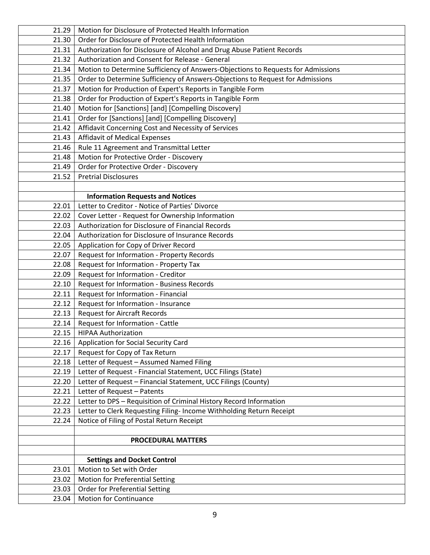| 21.29 | Motion for Disclosure of Protected Health Information                            |
|-------|----------------------------------------------------------------------------------|
| 21.30 | Order for Disclosure of Protected Health Information                             |
| 21.31 | Authorization for Disclosure of Alcohol and Drug Abuse Patient Records           |
| 21.32 | Authorization and Consent for Release - General                                  |
| 21.34 | Motion to Determine Sufficiency of Answers-Objections to Requests for Admissions |
| 21.35 | Order to Determine Sufficiency of Answers-Objections to Request for Admissions   |
| 21.37 | Motion for Production of Expert's Reports in Tangible Form                       |
| 21.38 | Order for Production of Expert's Reports in Tangible Form                        |
| 21.40 | Motion for [Sanctions] [and] [Compelling Discovery]                              |
| 21.41 | Order for [Sanctions] [and] [Compelling Discovery]                               |
| 21.42 | Affidavit Concerning Cost and Necessity of Services                              |
| 21.43 | <b>Affidavit of Medical Expenses</b>                                             |
| 21.46 | Rule 11 Agreement and Transmittal Letter                                         |
| 21.48 | Motion for Protective Order - Discovery                                          |
| 21.49 | Order for Protective Order - Discovery                                           |
| 21.52 | <b>Pretrial Disclosures</b>                                                      |
|       |                                                                                  |
|       | <b>Information Requests and Notices</b>                                          |
| 22.01 | Letter to Creditor - Notice of Parties' Divorce                                  |
| 22.02 | Cover Letter - Request for Ownership Information                                 |
| 22.03 | Authorization for Disclosure of Financial Records                                |
| 22.04 | Authorization for Disclosure of Insurance Records                                |
| 22.05 | Application for Copy of Driver Record                                            |
| 22.07 | Request for Information - Property Records                                       |
| 22.08 | Request for Information - Property Tax                                           |
| 22.09 | Request for Information - Creditor                                               |
| 22.10 | Request for Information - Business Records                                       |
| 22.11 | Request for Information - Financial                                              |
| 22.12 | Request for Information - Insurance                                              |
| 22.13 | <b>Request for Aircraft Records</b>                                              |
| 22.14 | Request for Information - Cattle                                                 |
| 22.15 | <b>HIPAA Authorization</b>                                                       |
| 22.16 | Application for Social Security Card                                             |
| 22.17 | Request for Copy of Tax Return                                                   |
| 22.18 | Letter of Request - Assumed Named Filing                                         |
| 22.19 | Letter of Request - Financial Statement, UCC Filings (State)                     |
| 22.20 | Letter of Request - Financial Statement, UCC Filings (County)                    |
| 22.21 | Letter of Request - Patents                                                      |
| 22.22 | Letter to DPS - Requisition of Criminal History Record Information               |
| 22.23 | Letter to Clerk Requesting Filing- Income Withholding Return Receipt             |
| 22.24 | Notice of Filing of Postal Return Receipt                                        |
|       |                                                                                  |
|       | <b>PROCEDURAL MATTERS</b>                                                        |
|       |                                                                                  |
|       | <b>Settings and Docket Control</b>                                               |
| 23.01 | Motion to Set with Order                                                         |
| 23.02 | <b>Motion for Preferential Setting</b>                                           |
| 23.03 | Order for Preferential Setting                                                   |
| 23.04 | <b>Motion for Continuance</b>                                                    |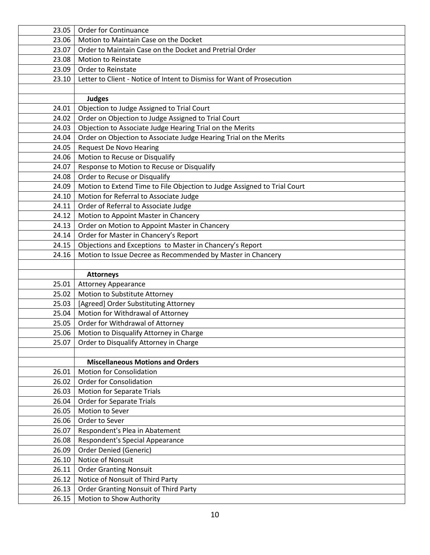| 23.05 | Order for Continuance                                                    |
|-------|--------------------------------------------------------------------------|
| 23.06 | Motion to Maintain Case on the Docket                                    |
| 23.07 | Order to Maintain Case on the Docket and Pretrial Order                  |
| 23.08 | <b>Motion to Reinstate</b>                                               |
| 23.09 | Order to Reinstate                                                       |
| 23.10 | Letter to Client - Notice of Intent to Dismiss for Want of Prosecution   |
|       |                                                                          |
|       | <b>Judges</b>                                                            |
| 24.01 | Objection to Judge Assigned to Trial Court                               |
| 24.02 | Order on Objection to Judge Assigned to Trial Court                      |
| 24.03 | Objection to Associate Judge Hearing Trial on the Merits                 |
| 24.04 | Order on Objection to Associate Judge Hearing Trial on the Merits        |
| 24.05 | <b>Request De Novo Hearing</b>                                           |
| 24.06 | Motion to Recuse or Disqualify                                           |
| 24.07 | Response to Motion to Recuse or Disqualify                               |
| 24.08 | Order to Recuse or Disqualify                                            |
| 24.09 | Motion to Extend Time to File Objection to Judge Assigned to Trial Court |
| 24.10 | Motion for Referral to Associate Judge                                   |
| 24.11 | Order of Referral to Associate Judge                                     |
| 24.12 | Motion to Appoint Master in Chancery                                     |
| 24.13 | Order on Motion to Appoint Master in Chancery                            |
| 24.14 | Order for Master in Chancery's Report                                    |
| 24.15 | Objections and Exceptions to Master in Chancery's Report                 |
| 24.16 | Motion to Issue Decree as Recommended by Master in Chancery              |
|       |                                                                          |
|       | <b>Attorneys</b>                                                         |
| 25.01 | <b>Attorney Appearance</b>                                               |
| 25.02 | Motion to Substitute Attorney                                            |
| 25.03 | [Agreed] Order Substituting Attorney                                     |
| 25.04 | Motion for Withdrawal of Attorney                                        |
| 25.05 | Order for Withdrawal of Attorney                                         |
| 25.06 | Motion to Disqualify Attorney in Charge                                  |
| 25.07 | Order to Disqualify Attorney in Charge                                   |
|       |                                                                          |
|       | <b>Miscellaneous Motions and Orders</b>                                  |
| 26.01 | <b>Motion for Consolidation</b>                                          |
| 26.02 | <b>Order for Consolidation</b>                                           |
| 26.03 | Motion for Separate Trials                                               |
| 26.04 | <b>Order for Separate Trials</b>                                         |
| 26.05 | Motion to Sever                                                          |
| 26.06 | Order to Sever                                                           |
| 26.07 | Respondent's Plea in Abatement                                           |
| 26.08 | Respondent's Special Appearance                                          |
| 26.09 | <b>Order Denied (Generic)</b>                                            |
| 26.10 | Notice of Nonsuit                                                        |
| 26.11 | <b>Order Granting Nonsuit</b>                                            |
| 26.12 | Notice of Nonsuit of Third Party                                         |
|       |                                                                          |
| 26.13 | <b>Order Granting Nonsuit of Third Party</b>                             |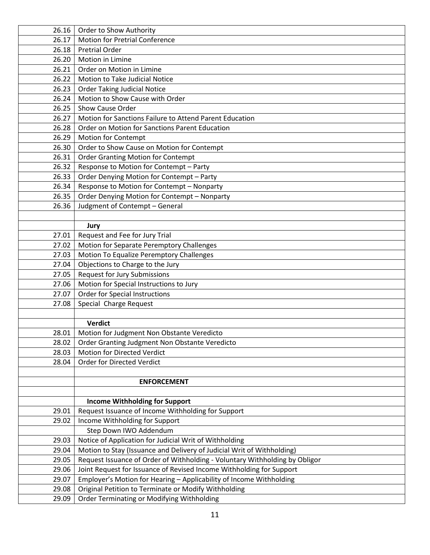| 26.16 | Order to Show Authority                                                     |
|-------|-----------------------------------------------------------------------------|
| 26.17 | <b>Motion for Pretrial Conference</b>                                       |
| 26.18 | <b>Pretrial Order</b>                                                       |
| 26.20 | Motion in Limine                                                            |
| 26.21 | Order on Motion in Limine                                                   |
| 26.22 | Motion to Take Judicial Notice                                              |
| 26.23 | <b>Order Taking Judicial Notice</b>                                         |
| 26.24 | Motion to Show Cause with Order                                             |
| 26.25 | Show Cause Order                                                            |
| 26.27 | Motion for Sanctions Failure to Attend Parent Education                     |
| 26.28 | Order on Motion for Sanctions Parent Education                              |
| 26.29 | Motion for Contempt                                                         |
| 26.30 | Order to Show Cause on Motion for Contempt                                  |
| 26.31 | <b>Order Granting Motion for Contempt</b>                                   |
| 26.32 | Response to Motion for Contempt - Party                                     |
| 26.33 | Order Denying Motion for Contempt - Party                                   |
| 26.34 | Response to Motion for Contempt - Nonparty                                  |
| 26.35 | Order Denying Motion for Contempt - Nonparty                                |
| 26.36 | Judgment of Contempt - General                                              |
|       |                                                                             |
|       | Jury                                                                        |
| 27.01 | Request and Fee for Jury Trial                                              |
| 27.02 | Motion for Separate Peremptory Challenges                                   |
| 27.03 | Motion To Equalize Peremptory Challenges                                    |
| 27.04 | Objections to Charge to the Jury                                            |
| 27.05 | <b>Request for Jury Submissions</b>                                         |
| 27.06 | Motion for Special Instructions to Jury                                     |
| 27.07 | Order for Special Instructions                                              |
| 27.08 | Special Charge Request                                                      |
|       |                                                                             |
|       | <b>Verdict</b>                                                              |
| 28.01 | Motion for Judgment Non Obstante Veredicto                                  |
| 28.02 | Order Granting Judgment Non Obstante Veredicto                              |
| 28.03 | Motion for Directed Verdict                                                 |
| 28.04 | Order for Directed Verdict                                                  |
|       |                                                                             |
|       | <b>ENFORCEMENT</b>                                                          |
|       |                                                                             |
|       | <b>Income Withholding for Support</b>                                       |
| 29.01 | Request Issuance of Income Withholding for Support                          |
| 29.02 | Income Withholding for Support                                              |
|       | Step Down IWO Addendum                                                      |
| 29.03 | Notice of Application for Judicial Writ of Withholding                      |
| 29.04 | Motion to Stay (Issuance and Delivery of Judicial Writ of Withholding)      |
| 29.05 | Request Issuance of Order of Withholding - Voluntary Withholding by Obligor |
| 29.06 | Joint Request for Issuance of Revised Income Withholding for Support        |
| 29.07 | Employer's Motion for Hearing - Applicability of Income Withholding         |
| 29.08 | Original Petition to Terminate or Modify Withholding                        |
| 29.09 | Order Terminating or Modifying Withholding                                  |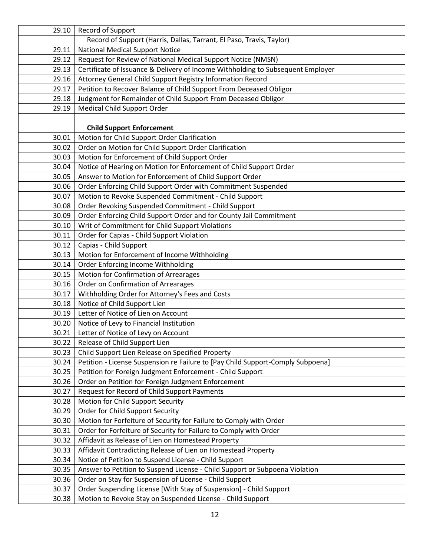| 29.10 | Record of Support                                                               |
|-------|---------------------------------------------------------------------------------|
|       | Record of Support (Harris, Dallas, Tarrant, El Paso, Travis, Taylor)            |
| 29.11 | <b>National Medical Support Notice</b>                                          |
| 29.12 | Request for Review of National Medical Support Notice (NMSN)                    |
| 29.13 | Certificate of Issuance & Delivery of Income Withholding to Subsequent Employer |
| 29.16 | Attorney General Child Support Registry Information Record                      |
| 29.17 | Petition to Recover Balance of Child Support From Deceased Obligor              |
| 29.18 | Judgment for Remainder of Child Support From Deceased Obligor                   |
| 29.19 | Medical Child Support Order                                                     |
|       |                                                                                 |
|       | <b>Child Support Enforcement</b>                                                |
| 30.01 | Motion for Child Support Order Clarification                                    |
| 30.02 | Order on Motion for Child Support Order Clarification                           |
| 30.03 | Motion for Enforcement of Child Support Order                                   |
| 30.04 | Notice of Hearing on Motion for Enforcement of Child Support Order              |
| 30.05 | Answer to Motion for Enforcement of Child Support Order                         |
| 30.06 | Order Enforcing Child Support Order with Commitment Suspended                   |
| 30.07 | Motion to Revoke Suspended Commitment - Child Support                           |
| 30.08 | Order Revoking Suspended Commitment - Child Support                             |
| 30.09 | Order Enforcing Child Support Order and for County Jail Commitment              |
| 30.10 | Writ of Commitment for Child Support Violations                                 |
| 30.11 | Order for Capias - Child Support Violation                                      |
| 30.12 | Capias - Child Support                                                          |
| 30.13 | Motion for Enforcement of Income Withholding                                    |
| 30.14 | Order Enforcing Income Withholding                                              |
| 30.15 | Motion for Confirmation of Arrearages                                           |
| 30.16 | Order on Confirmation of Arrearages                                             |
| 30.17 | Withholding Order for Attorney's Fees and Costs                                 |
| 30.18 | Notice of Child Support Lien                                                    |
| 30.19 | Letter of Notice of Lien on Account                                             |
| 30.20 | Notice of Levy to Financial Institution                                         |
| 30.21 | Letter of Notice of Levy on Account                                             |
| 30.22 | Release of Child Support Lien                                                   |
| 30.23 | Child Support Lien Release on Specified Property                                |
| 30.24 | Petition - License Suspension re Failure to [Pay Child Support-Comply Subpoena] |
| 30.25 | Petition for Foreign Judgment Enforcement - Child Support                       |
| 30.26 | Order on Petition for Foreign Judgment Enforcement                              |
| 30.27 | Request for Record of Child Support Payments                                    |
| 30.28 | Motion for Child Support Security                                               |
| 30.29 | Order for Child Support Security                                                |
| 30.30 | Motion for Forfeiture of Security for Failure to Comply with Order              |
| 30.31 | Order for Forfeiture of Security for Failure to Comply with Order               |
| 30.32 | Affidavit as Release of Lien on Homestead Property                              |
| 30.33 | Affidavit Contradicting Release of Lien on Homestead Property                   |
| 30.34 | Notice of Petition to Suspend License - Child Support                           |
| 30.35 | Answer to Petition to Suspend License - Child Support or Subpoena Violation     |
| 30.36 | Order on Stay for Suspension of License - Child Support                         |
| 30.37 | Order Suspending License [With Stay of Suspension] - Child Support              |
| 30.38 | Motion to Revoke Stay on Suspended License - Child Support                      |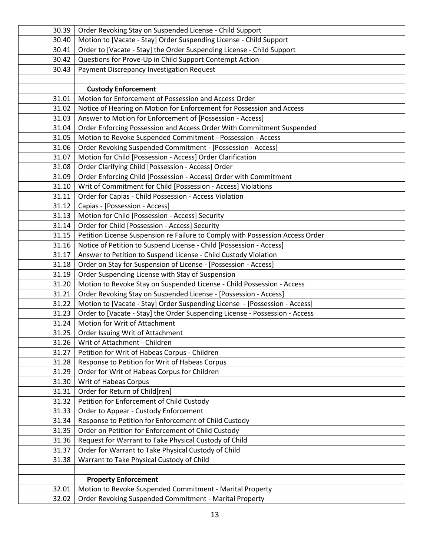| 30.39          | Order Revoking Stay on Suspended License - Child Support                                        |
|----------------|-------------------------------------------------------------------------------------------------|
| 30.40          | Motion to [Vacate - Stay] Order Suspending License - Child Support                              |
| 30.41          | Order to [Vacate - Stay] the Order Suspending License - Child Support                           |
| 30.42          | Questions for Prove-Up in Child Support Contempt Action                                         |
| 30.43          | Payment Discrepancy Investigation Request                                                       |
|                |                                                                                                 |
|                | <b>Custody Enforcement</b>                                                                      |
| 31.01          | Motion for Enforcement of Possession and Access Order                                           |
| 31.02          | Notice of Hearing on Motion for Enforcement for Possession and Access                           |
| 31.03          | Answer to Motion for Enforcement of [Possession - Access]                                       |
| 31.04          | Order Enforcing Possession and Access Order With Commitment Suspended                           |
| 31.05          | Motion to Revoke Suspended Commitment - Possession - Access                                     |
| 31.06          | Order Revoking Suspended Commitment - [Possession - Access]                                     |
| 31.07          | Motion for Child [Possession - Access] Order Clarification                                      |
| 31.08          | Order Clarifying Child [Possession - Access] Order                                              |
| 31.09          | Order Enforcing Child [Possession - Access] Order with Commitment                               |
| 31.10          | Writ of Commitment for Child [Possession - Access] Violations                                   |
| 31.11          | Order for Capias - Child Possession - Access Violation                                          |
| 31.12          | Capias - [Possession - Access]                                                                  |
| 31.13          | Motion for Child [Possession - Access] Security                                                 |
| 31.14          | Order for Child [Possession - Access] Security                                                  |
| 31.15          | Petition License Suspension re Failure to Comply with Possession Access Order                   |
| 31.16          | Notice of Petition to Suspend License - Child [Possession - Access]                             |
| 31.17          | Answer to Petition to Suspend License - Child Custody Violation                                 |
| 31.18          | Order on Stay for Suspension of License - [Possession - Access]                                 |
| 31.19          | Order Suspending License with Stay of Suspension                                                |
| 31.20          | Motion to Revoke Stay on Suspended License - Child Possession - Access                          |
| 31.21          | Order Revoking Stay on Suspended License - [Possession - Access]                                |
| 31.22          | Motion to [Vacate - Stay] Order Suspending License - [Possession - Access]                      |
| 31.23          | Order to [Vacate - Stay] the Order Suspending License - Possession - Access                     |
| 31.24          | Motion for Writ of Attachment                                                                   |
| 31.25          | Order Issuing Writ of Attachment                                                                |
| 31.26          | Writ of Attachment - Children                                                                   |
| 31.27          | Petition for Writ of Habeas Corpus - Children<br>Response to Petition for Writ of Habeas Corpus |
| 31.28<br>31.29 | Order for Writ of Habeas Corpus for Children                                                    |
| 31.30          | Writ of Habeas Corpus                                                                           |
| 31.31          | Order for Return of Child[ren]                                                                  |
| 31.32          | Petition for Enforcement of Child Custody                                                       |
| 31.33          | Order to Appear - Custody Enforcement                                                           |
| 31.34          | Response to Petition for Enforcement of Child Custody                                           |
| 31.35          | Order on Petition for Enforcement of Child Custody                                              |
| 31.36          | Request for Warrant to Take Physical Custody of Child                                           |
| 31.37          | Order for Warrant to Take Physical Custody of Child                                             |
| 31.38          | Warrant to Take Physical Custody of Child                                                       |
|                |                                                                                                 |
|                | <b>Property Enforcement</b>                                                                     |
| 32.01          | Motion to Revoke Suspended Commitment - Marital Property                                        |
| 32.02          | Order Revoking Suspended Commitment - Marital Property                                          |
|                |                                                                                                 |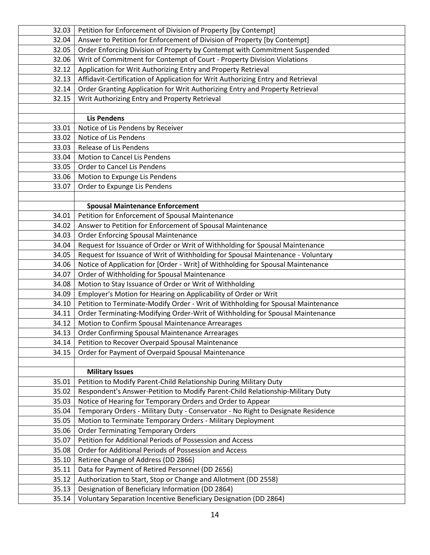| 32.03 | Petition for Enforcement of Division of Property [by Contempt]                   |
|-------|----------------------------------------------------------------------------------|
| 32.04 | Answer to Petition for Enforcement of Division of Property [by Contempt]         |
| 32.05 | Order Enforcing Division of Property by Contempt with Commitment Suspended       |
| 32.06 | Writ of Commitment for Contempt of Court - Property Division Violations          |
| 32.12 | Application for Writ Authorizing Entry and Property Retrieval                    |
| 32.13 | Affidavit-Certification of Application for Writ Authorizing Entry and Retrieval  |
| 32.14 | Order Granting Application for Writ Authorizing Entry and Property Retrieval     |
| 32.15 | Writ Authorizing Entry and Property Retrieval                                    |
|       |                                                                                  |
|       | <b>Lis Pendens</b>                                                               |
| 33.01 | Notice of Lis Pendens by Receiver                                                |
| 33.02 | Notice of Lis Pendens                                                            |
| 33.03 | Release of Lis Pendens                                                           |
| 33.04 | Motion to Cancel Lis Pendens                                                     |
| 33.05 | Order to Cancel Lis Pendens                                                      |
| 33.06 | Motion to Expunge Lis Pendens                                                    |
| 33.07 | Order to Expunge Lis Pendens                                                     |
|       |                                                                                  |
|       | <b>Spousal Maintenance Enforcement</b>                                           |
| 34.01 | Petition for Enforcement of Spousal Maintenance                                  |
| 34.02 | Answer to Petition for Enforcement of Spousal Maintenance                        |
| 34.03 | <b>Order Enforcing Spousal Maintenance</b>                                       |
| 34.04 | Request for Issuance of Order or Writ of Withholding for Spousal Maintenance     |
| 34.05 | Request for Issuance of Writ of Withholding for Spousal Maintenance - Voluntary  |
| 34.06 | Notice of Application for [Order - Writ] of Withholding for Spousal Maintenance  |
| 34.07 | Order of Withholding for Spousal Maintenance                                     |
| 34.08 | Motion to Stay Issuance of Order or Writ of Withholding                          |
| 34.09 | Employer's Motion for Hearing on Applicability of Order or Writ                  |
| 34.10 | Petition to Terminate-Modify Order - Writ of Withholding for Spousal Maintenance |
| 34.11 | Order Terminating-Modifying Order-Writ of Withholding for Spousal Maintenance    |
| 34.12 | Motion to Confirm Spousal Maintenance Arrearages                                 |
| 34.13 | Order Confirming Spousal Maintenance Arrearages                                  |
| 34.14 | Petition to Recover Overpaid Spousal Maintenance                                 |
| 34.15 | Order for Payment of Overpaid Spousal Maintenance                                |
|       |                                                                                  |
|       | <b>Military Issues</b>                                                           |
| 35.01 | Petition to Modify Parent-Child Relationship During Military Duty                |
| 35.02 | Respondent's Answer-Petition to Modify Parent-Child Relationship-Military Duty   |
| 35.03 | Notice of Hearing for Temporary Orders and Order to Appear                       |
| 35.04 | Temporary Orders - Military Duty - Conservator - No Right to Designate Residence |
| 35.05 | Motion to Terminate Temporary Orders - Military Deployment                       |
| 35.06 | <b>Order Terminating Temporary Orders</b>                                        |
| 35.07 | Petition for Additional Periods of Possession and Access                         |
| 35.08 | Order for Additional Periods of Possession and Access                            |
| 35.10 | Retiree Change of Address (DD 2866)                                              |
| 35.11 | Data for Payment of Retired Personnel (DD 2656)                                  |
| 35.12 | Authorization to Start, Stop or Change and Allotment (DD 2558)                   |
| 35.13 | Designation of Beneficiary Information (DD 2864)                                 |
| 35.14 | Voluntary Separation Incentive Beneficiary Designation (DD 2864)                 |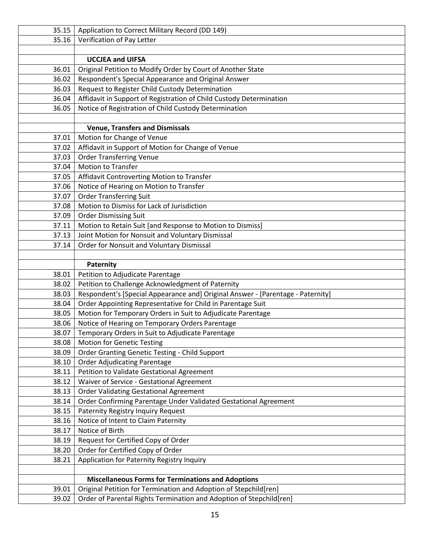| 35.15 | Application to Correct Military Record (DD 149)                                 |
|-------|---------------------------------------------------------------------------------|
| 35.16 | Verification of Pay Letter                                                      |
|       |                                                                                 |
|       | <b>UCCJEA and UIFSA</b>                                                         |
| 36.01 | Original Petition to Modify Order by Court of Another State                     |
| 36.02 | Respondent's Special Appearance and Original Answer                             |
| 36.03 | Request to Register Child Custody Determination                                 |
| 36.04 | Affidavit in Support of Registration of Child Custody Determination             |
| 36.05 | Notice of Registration of Child Custody Determination                           |
|       |                                                                                 |
|       | <b>Venue, Transfers and Dismissals</b>                                          |
| 37.01 | Motion for Change of Venue                                                      |
| 37.02 | Affidavit in Support of Motion for Change of Venue                              |
| 37.03 | <b>Order Transferring Venue</b>                                                 |
| 37.04 | <b>Motion to Transfer</b>                                                       |
| 37.05 | Affidavit Controverting Motion to Transfer                                      |
| 37.06 | Notice of Hearing on Motion to Transfer                                         |
| 37.07 | <b>Order Transferring Suit</b>                                                  |
| 37.08 | Motion to Dismiss for Lack of Jurisdiction                                      |
| 37.09 | <b>Order Dismissing Suit</b>                                                    |
| 37.11 | Motion to Retain Suit [and Response to Motion to Dismiss]                       |
| 37.13 | Joint Motion for Nonsuit and Voluntary Dismissal                                |
| 37.14 | Order for Nonsuit and Voluntary Dismissal                                       |
|       |                                                                                 |
|       | Paternity                                                                       |
| 38.01 | Petition to Adjudicate Parentage                                                |
| 38.02 | Petition to Challenge Acknowledgment of Paternity                               |
| 38.03 | Respondent's [Special Appearance and] Original Answer - [Parentage - Paternity] |
| 38.04 | Order Appointing Representative for Child in Parentage Suit                     |
| 38.05 | Motion for Temporary Orders in Suit to Adjudicate Parentage                     |
| 38.06 | Notice of Hearing on Temporary Orders Parentage                                 |
| 38.07 | Temporary Orders in Suit to Adjudicate Parentage                                |
| 38.08 | <b>Motion for Genetic Testing</b>                                               |
| 38.09 | Order Granting Genetic Testing - Child Support                                  |
| 38.10 | <b>Order Adjudicating Parentage</b>                                             |
| 38.11 | Petition to Validate Gestational Agreement                                      |
| 38.12 | Waiver of Service - Gestational Agreement                                       |
| 38.13 | <b>Order Validating Gestational Agreement</b>                                   |
| 38.14 | Order Confirming Parentage Under Validated Gestational Agreement                |
| 38.15 | Paternity Registry Inquiry Request                                              |
| 38.16 | Notice of Intent to Claim Paternity                                             |
| 38.17 | Notice of Birth                                                                 |
| 38.19 | Request for Certified Copy of Order                                             |
| 38.20 | Order for Certified Copy of Order                                               |
| 38.21 | Application for Paternity Registry Inquiry                                      |
|       |                                                                                 |
|       | <b>Miscellaneous Forms for Terminations and Adoptions</b>                       |
| 39.01 | Original Petition for Termination and Adoption of Stepchild[ren]                |
| 39.02 | Order of Parental Rights Termination and Adoption of Stepchild[ren]             |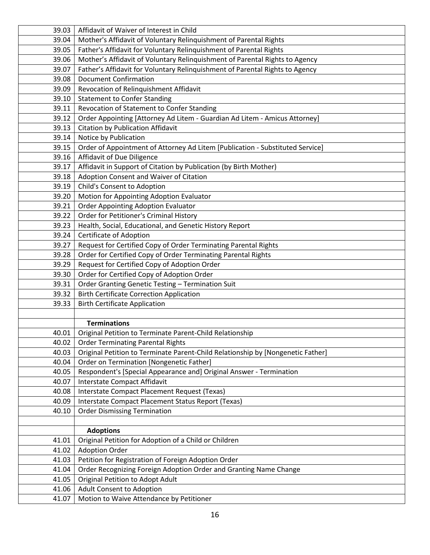| 39.03 | Affidavit of Waiver of Interest in Child                                        |
|-------|---------------------------------------------------------------------------------|
| 39.04 | Mother's Affidavit of Voluntary Relinquishment of Parental Rights               |
| 39.05 | Father's Affidavit for Voluntary Relinquishment of Parental Rights              |
| 39.06 | Mother's Affidavit of Voluntary Relinquishment of Parental Rights to Agency     |
| 39.07 | Father's Affidavit for Voluntary Relinquishment of Parental Rights to Agency    |
| 39.08 | <b>Document Confirmation</b>                                                    |
| 39.09 | Revocation of Relinquishment Affidavit                                          |
| 39.10 | <b>Statement to Confer Standing</b>                                             |
| 39.11 | Revocation of Statement to Confer Standing                                      |
| 39.12 | Order Appointing [Attorney Ad Litem - Guardian Ad Litem - Amicus Attorney]      |
| 39.13 | Citation by Publication Affidavit                                               |
| 39.14 | Notice by Publication                                                           |
| 39.15 | Order of Appointment of Attorney Ad Litem [Publication - Substituted Service]   |
| 39.16 | Affidavit of Due Diligence                                                      |
| 39.17 | Affidavit in Support of Citation by Publication (by Birth Mother)               |
| 39.18 | Adoption Consent and Waiver of Citation                                         |
| 39.19 | Child's Consent to Adoption                                                     |
| 39.20 | Motion for Appointing Adoption Evaluator                                        |
| 39.21 | <b>Order Appointing Adoption Evaluator</b>                                      |
| 39.22 | Order for Petitioner's Criminal History                                         |
| 39.23 | Health, Social, Educational, and Genetic History Report                         |
| 39.24 | Certificate of Adoption                                                         |
| 39.27 | Request for Certified Copy of Order Terminating Parental Rights                 |
| 39.28 | Order for Certified Copy of Order Terminating Parental Rights                   |
| 39.29 | Request for Certified Copy of Adoption Order                                    |
| 39.30 | Order for Certified Copy of Adoption Order                                      |
| 39.31 | Order Granting Genetic Testing - Termination Suit                               |
| 39.32 | <b>Birth Certificate Correction Application</b>                                 |
| 39.33 | <b>Birth Certificate Application</b>                                            |
|       |                                                                                 |
|       | <b>Terminations</b>                                                             |
| 40.01 | Original Petition to Terminate Parent-Child Relationship                        |
| 40.02 | <b>Order Terminating Parental Rights</b>                                        |
| 40.03 | Original Petition to Terminate Parent-Child Relationship by [Nongenetic Father] |
| 40.04 | Order on Termination [Nongenetic Father]                                        |
| 40.05 | Respondent's [Special Appearance and] Original Answer - Termination             |
| 40.07 | Interstate Compact Affidavit                                                    |
| 40.08 | Interstate Compact Placement Request (Texas)                                    |
| 40.09 | Interstate Compact Placement Status Report (Texas)                              |
| 40.10 | <b>Order Dismissing Termination</b>                                             |
|       |                                                                                 |
|       | <b>Adoptions</b>                                                                |
| 41.01 | Original Petition for Adoption of a Child or Children                           |
| 41.02 | <b>Adoption Order</b>                                                           |
| 41.03 | Petition for Registration of Foreign Adoption Order                             |
| 41.04 | Order Recognizing Foreign Adoption Order and Granting Name Change               |
| 41.05 | Original Petition to Adopt Adult                                                |
| 41.06 | Adult Consent to Adoption                                                       |
| 41.07 | Motion to Waive Attendance by Petitioner                                        |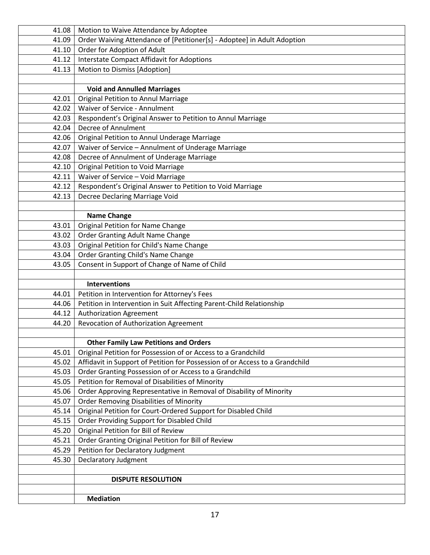|                | <b>DISPUTE RESOLUTION</b>                                                      |
|----------------|--------------------------------------------------------------------------------|
|                |                                                                                |
| 45.30          | Declaratory Judgment                                                           |
| 45.29          | Petition for Declaratory Judgment                                              |
| 45.21          | Order Granting Original Petition for Bill of Review                            |
| 45.20          | Original Petition for Bill of Review                                           |
| 45.15          | Order Providing Support for Disabled Child                                     |
| 45.14          | Original Petition for Court-Ordered Support for Disabled Child                 |
| 45.07          | <b>Order Removing Disabilities of Minority</b>                                 |
| 45.06          | Order Approving Representative in Removal of Disability of Minority            |
| 45.05          | Petition for Removal of Disabilities of Minority                               |
| 45.03          | Order Granting Possession of or Access to a Grandchild                         |
| 45.02          | Affidavit in Support of Petition for Possession of or Access to a Grandchild   |
| 45.01          | Original Petition for Possession of or Access to a Grandchild                  |
|                | <b>Other Family Law Petitions and Orders</b>                                   |
|                |                                                                                |
| 44.20          | Revocation of Authorization Agreement                                          |
| 44.12          | <b>Authorization Agreement</b>                                                 |
| 44.06          | Petition in Intervention in Suit Affecting Parent-Child Relationship           |
| 44.01          | Petition in Intervention for Attorney's Fees                                   |
|                | <b>Interventions</b>                                                           |
|                |                                                                                |
| 43.05          | Consent in Support of Change of Name of Child                                  |
| 43.04          | Order Granting Child's Name Change                                             |
| 43.03          | Original Petition for Child's Name Change                                      |
| 43.02          | Order Granting Adult Name Change                                               |
| 43.01          | Original Petition for Name Change                                              |
|                | <b>Name Change</b>                                                             |
|                |                                                                                |
| 42.13          | Decree Declaring Marriage Void                                                 |
| 42.12          | Respondent's Original Answer to Petition to Void Marriage                      |
| 42.11          | Waiver of Service - Void Marriage                                              |
| 42.08<br>42.10 | Decree of Annulment of Underage Marriage<br>Original Petition to Void Marriage |
| 42.07          | Waiver of Service - Annulment of Underage Marriage                             |
| 42.06          | Original Petition to Annul Underage Marriage                                   |
| 42.04          | Decree of Annulment                                                            |
| 42.03          | Respondent's Original Answer to Petition to Annul Marriage                     |
| 42.02          | Waiver of Service - Annulment                                                  |
| 42.01          | Original Petition to Annul Marriage                                            |
|                | <b>Void and Annulled Marriages</b>                                             |
|                |                                                                                |
| 41.13          | Motion to Dismiss [Adoption]                                                   |
| 41.12          | <b>Interstate Compact Affidavit for Adoptions</b>                              |
| 41.10          | Order for Adoption of Adult                                                    |
| 41.09          | Order Waiving Attendance of [Petitioner[s] - Adoptee] in Adult Adoption        |
| 41.08          | Motion to Waive Attendance by Adoptee                                          |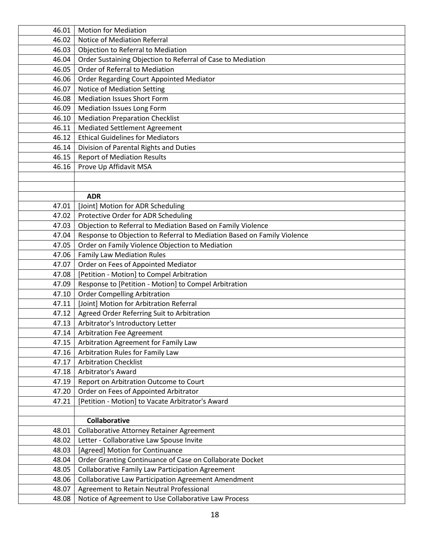| 46.01 | <b>Motion for Mediation</b>                                             |
|-------|-------------------------------------------------------------------------|
| 46.02 | Notice of Mediation Referral                                            |
| 46.03 | Objection to Referral to Mediation                                      |
| 46.04 | Order Sustaining Objection to Referral of Case to Mediation             |
| 46.05 | Order of Referral to Mediation                                          |
| 46.06 | Order Regarding Court Appointed Mediator                                |
| 46.07 | Notice of Mediation Setting                                             |
| 46.08 | <b>Mediation Issues Short Form</b>                                      |
| 46.09 | Mediation Issues Long Form                                              |
| 46.10 | <b>Mediation Preparation Checklist</b>                                  |
| 46.11 | <b>Mediated Settlement Agreement</b>                                    |
| 46.12 | <b>Ethical Guidelines for Mediators</b>                                 |
| 46.14 | Division of Parental Rights and Duties                                  |
| 46.15 | <b>Report of Mediation Results</b>                                      |
| 46.16 | Prove Up Affidavit MSA                                                  |
|       |                                                                         |
|       |                                                                         |
|       | <b>ADR</b>                                                              |
| 47.01 | [Joint] Motion for ADR Scheduling                                       |
| 47.02 | Protective Order for ADR Scheduling                                     |
| 47.03 | Objection to Referral to Mediation Based on Family Violence             |
| 47.04 | Response to Objection to Referral to Mediation Based on Family Violence |
| 47.05 | Order on Family Violence Objection to Mediation                         |
| 47.06 | <b>Family Law Mediation Rules</b>                                       |
| 47.07 | Order on Fees of Appointed Mediator                                     |
| 47.08 | [Petition - Motion] to Compel Arbitration                               |
| 47.09 | Response to [Petition - Motion] to Compel Arbitration                   |
| 47.10 | <b>Order Compelling Arbitration</b>                                     |
| 47.11 | [Joint] Motion for Arbitration Referral                                 |
| 47.12 | Agreed Order Referring Suit to Arbitration                              |
| 47.13 | Arbitrator's Introductory Letter                                        |
| 47.14 | Arbitration Fee Agreement                                               |
| 47.15 | Arbitration Agreement for Family Law                                    |
| 47.16 | Arbitration Rules for Family Law                                        |
| 47.17 | <b>Arbitration Checklist</b>                                            |
| 47.18 | Arbitrator's Award                                                      |
| 47.19 | Report on Arbitration Outcome to Court                                  |
| 47.20 | Order on Fees of Appointed Arbitrator                                   |
| 47.21 | [Petition - Motion] to Vacate Arbitrator's Award                        |
|       |                                                                         |
|       | <b>Collaborative</b>                                                    |
| 48.01 | <b>Collaborative Attorney Retainer Agreement</b>                        |
| 48.02 | Letter - Collaborative Law Spouse Invite                                |
| 48.03 | [Agreed] Motion for Continuance                                         |
| 48.04 | Order Granting Continuance of Case on Collaborate Docket                |
| 48.05 | <b>Collaborative Family Law Participation Agreement</b>                 |
| 48.06 | <b>Collaborative Law Participation Agreement Amendment</b>              |
| 48.07 | Agreement to Retain Neutral Professional                                |
| 48.08 | Notice of Agreement to Use Collaborative Law Process                    |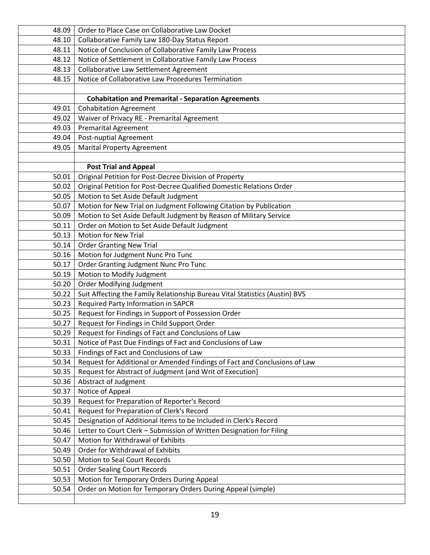| 48.09 | Order to Place Case on Collaborative Law Docket                             |
|-------|-----------------------------------------------------------------------------|
| 48.10 | Collaborative Family Law 180-Day Status Report                              |
| 48.11 | Notice of Conclusion of Collaborative Family Law Process                    |
| 48.12 | Notice of Settlement in Collaborative Family Law Process                    |
| 48.13 | Collaborative Law Settlement Agreement                                      |
| 48.15 | Notice of Collaborative Law Procedures Termination                          |
|       |                                                                             |
|       | <b>Cohabitation and Premarital - Separation Agreements</b>                  |
| 49.01 | <b>Cohabitation Agreement</b>                                               |
| 49.02 | Waiver of Privacy RE - Premarital Agreement                                 |
| 49.03 | <b>Premarital Agreement</b>                                                 |
| 49.04 | Post-nuptial Agreement                                                      |
| 49.05 | <b>Marital Property Agreement</b>                                           |
|       |                                                                             |
|       | <b>Post Trial and Appeal</b>                                                |
| 50.01 | Original Petition for Post-Decree Division of Property                      |
| 50.02 | Original Petition for Post-Decree Qualified Domestic Relations Order        |
| 50.05 | Motion to Set Aside Default Judgment                                        |
| 50.07 | Motion for New Trial on Judgment Following Citation by Publication          |
| 50.09 | Motion to Set Aside Default Judgment by Reason of Military Service          |
| 50.11 | Order on Motion to Set Aside Default Judgment                               |
| 50.13 | <b>Motion for New Trial</b>                                                 |
| 50.14 | <b>Order Granting New Trial</b>                                             |
| 50.16 | Motion for Judgment Nunc Pro Tunc                                           |
| 50.17 | Order Granting Judgment Nunc Pro Tunc                                       |
| 50.19 | Motion to Modify Judgment                                                   |
| 50.20 | <b>Order Modifying Judgment</b>                                             |
| 50.22 | Suit Affecting the Family Relationship Bureau Vital Statistics (Austin) BVS |
| 50.23 | Required Party Information in SAPCR                                         |
| 50.25 | Request for Findings in Support of Possession Order                         |
| 50.27 | Request for Findings in Child Support Order                                 |
| 50.29 | Request for Findings of Fact and Conclusions of Law                         |
| 50.31 | Notice of Past Due Findings of Fact and Conclusions of Law                  |
| 50.33 | Findings of Fact and Conclusions of Law                                     |
| 50.34 | Request for Additional or Amended Findings of Fact and Conclusions of Law   |
| 50.35 | Request for Abstract of Judgment [and Writ of Execution]                    |
| 50.36 | Abstract of Judgment                                                        |
| 50.37 | Notice of Appeal                                                            |
| 50.39 | Request for Preparation of Reporter's Record                                |
| 50.41 | Request for Preparation of Clerk's Record                                   |
| 50.45 | Designation of Additional Items to be Included in Clerk's Record            |
| 50.46 | Letter to Court Clerk - Submission of Written Designation for Filing        |
| 50.47 | Motion for Withdrawal of Exhibits                                           |
| 50.49 | Order for Withdrawal of Exhibits                                            |
| 50.50 | <b>Motion to Seal Court Records</b>                                         |
| 50.51 | <b>Order Sealing Court Records</b>                                          |
| 50.53 | Motion for Temporary Orders During Appeal                                   |
| 50.54 | Order on Motion for Temporary Orders During Appeal (simple)                 |
|       |                                                                             |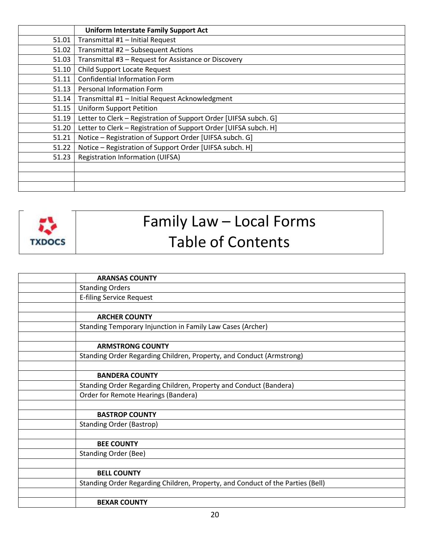|       | <b>Uniform Interstate Family Support Act</b>                     |
|-------|------------------------------------------------------------------|
| 51.01 | Transmittal #1 - Initial Request                                 |
| 51.02 | Transmittal #2 - Subsequent Actions                              |
| 51.03 | Transmittal #3 - Request for Assistance or Discovery             |
| 51.10 | Child Support Locate Request                                     |
| 51.11 | <b>Confidential Information Form</b>                             |
| 51.13 | Personal Information Form                                        |
| 51.14 | Transmittal #1 - Initial Request Acknowledgment                  |
| 51.15 | <b>Uniform Support Petition</b>                                  |
| 51.19 | Letter to Clerk - Registration of Support Order [UIFSA subch. G] |
| 51.20 | Letter to Clerk - Registration of Support Order [UIFSA subch. H] |
| 51.21 | Notice - Registration of Support Order [UIFSA subch. G]          |
| 51.22 | Notice - Registration of Support Order [UIFSA subch. H]          |
| 51.23 | <b>Registration Information (UIFSA)</b>                          |
|       |                                                                  |
|       |                                                                  |
|       |                                                                  |



## Family Law – Local Forms Table of Contents

| <b>ARANSAS COUNTY</b>                                                          |
|--------------------------------------------------------------------------------|
| <b>Standing Orders</b>                                                         |
| <b>E-filing Service Request</b>                                                |
|                                                                                |
| <b>ARCHER COUNTY</b>                                                           |
| Standing Temporary Injunction in Family Law Cases (Archer)                     |
|                                                                                |
| <b>ARMSTRONG COUNTY</b>                                                        |
| Standing Order Regarding Children, Property, and Conduct (Armstrong)           |
|                                                                                |
| <b>BANDERA COUNTY</b>                                                          |
| Standing Order Regarding Children, Property and Conduct (Bandera)              |
| Order for Remote Hearings (Bandera)                                            |
|                                                                                |
| <b>BASTROP COUNTY</b>                                                          |
| <b>Standing Order (Bastrop)</b>                                                |
|                                                                                |
| <b>BEE COUNTY</b>                                                              |
| <b>Standing Order (Bee)</b>                                                    |
|                                                                                |
| <b>BELL COUNTY</b>                                                             |
| Standing Order Regarding Children, Property, and Conduct of the Parties (Bell) |
|                                                                                |
| <b>BEXAR COUNTY</b>                                                            |
|                                                                                |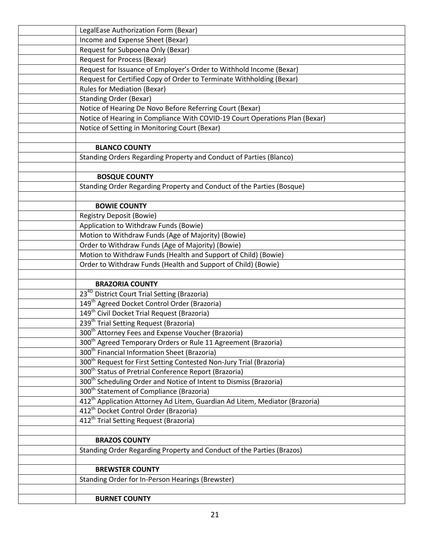| LegalEase Authorization Form (Bexar)                                                    |
|-----------------------------------------------------------------------------------------|
| Income and Expense Sheet (Bexar)                                                        |
| Request for Subpoena Only (Bexar)                                                       |
| <b>Request for Process (Bexar)</b>                                                      |
| Request for Issuance of Employer's Order to Withhold Income (Bexar)                     |
| Request for Certified Copy of Order to Terminate Withholding (Bexar)                    |
| <b>Rules for Mediation (Bexar)</b>                                                      |
| <b>Standing Order (Bexar)</b>                                                           |
| Notice of Hearing De Novo Before Referring Court (Bexar)                                |
| Notice of Hearing in Compliance With COVID-19 Court Operations Plan (Bexar)             |
| Notice of Setting in Monitoring Court (Bexar)                                           |
|                                                                                         |
| <b>BLANCO COUNTY</b>                                                                    |
| Standing Orders Regarding Property and Conduct of Parties (Blanco)                      |
|                                                                                         |
| <b>BOSQUE COUNTY</b>                                                                    |
| Standing Order Regarding Property and Conduct of the Parties (Bosque)                   |
|                                                                                         |
| <b>BOWIE COUNTY</b>                                                                     |
| <b>Registry Deposit (Bowie)</b>                                                         |
| Application to Withdraw Funds (Bowie)                                                   |
| Motion to Withdraw Funds (Age of Majority) (Bowie)                                      |
| Order to Withdraw Funds (Age of Majority) (Bowie)                                       |
| Motion to Withdraw Funds (Health and Support of Child) (Bowie)                          |
| Order to Withdraw Funds (Health and Support of Child) (Bowie)                           |
|                                                                                         |
| <b>BRAZORIA COUNTY</b>                                                                  |
| 23 <sup>RD</sup> District Court Trial Setting (Brazoria)                                |
| 149 <sup>th</sup> Agreed Docket Control Order (Brazoria)                                |
| 149 <sup>th</sup> Civil Docket Trial Request (Brazoria)                                 |
| 239 <sup>th</sup> Trial Setting Request (Brazoria)                                      |
| 300 <sup>th</sup> Attorney Fees and Expense Voucher (Brazoria)                          |
| 300 <sup>th</sup> Agreed Temporary Orders or Rule 11 Agreement (Brazoria)               |
| 300 <sup>th</sup> Financial Information Sheet (Brazoria)                                |
| 300 <sup>th</sup> Request for First Setting Contested Non-Jury Trial (Brazoria)         |
| 300 <sup>th</sup> Status of Pretrial Conference Report (Brazoria)                       |
| 300 <sup>th</sup> Scheduling Order and Notice of Intent to Dismiss (Brazoria)           |
| 300 <sup>th</sup> Statement of Compliance (Brazoria)                                    |
| 412 <sup>th</sup> Application Attorney Ad Litem, Guardian Ad Litem, Mediator (Brazoria) |
| 412 <sup>th</sup> Docket Control Order (Brazoria)                                       |
| 412 <sup>th</sup> Trial Setting Request (Brazoria)                                      |
|                                                                                         |
| <b>BRAZOS COUNTY</b>                                                                    |
| Standing Order Regarding Property and Conduct of the Parties (Brazos)                   |
|                                                                                         |
| <b>BREWSTER COUNTY</b>                                                                  |
| Standing Order for In-Person Hearings (Brewster)                                        |
|                                                                                         |
| <b>BURNET COUNTY</b>                                                                    |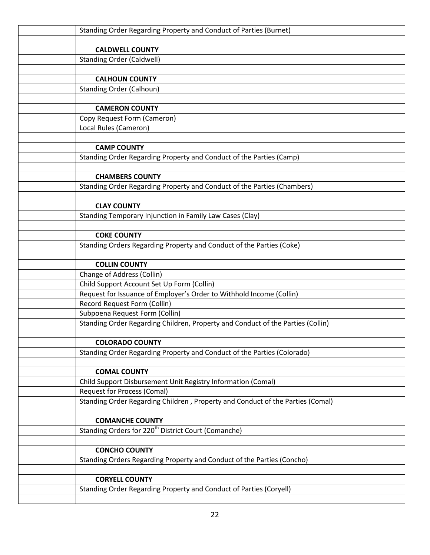| Standing Order Regarding Property and Conduct of Parties (Burnet)                                                  |
|--------------------------------------------------------------------------------------------------------------------|
|                                                                                                                    |
| <b>CALDWELL COUNTY</b>                                                                                             |
| <b>Standing Order (Caldwell)</b>                                                                                   |
| <b>CALHOUN COUNTY</b>                                                                                              |
| <b>Standing Order (Calhoun)</b>                                                                                    |
|                                                                                                                    |
| <b>CAMERON COUNTY</b>                                                                                              |
| Copy Request Form (Cameron)                                                                                        |
| Local Rules (Cameron)                                                                                              |
|                                                                                                                    |
| <b>CAMP COUNTY</b>                                                                                                 |
| Standing Order Regarding Property and Conduct of the Parties (Camp)                                                |
|                                                                                                                    |
| <b>CHAMBERS COUNTY</b>                                                                                             |
| Standing Order Regarding Property and Conduct of the Parties (Chambers)                                            |
|                                                                                                                    |
| <b>CLAY COUNTY</b>                                                                                                 |
| Standing Temporary Injunction in Family Law Cases (Clay)                                                           |
|                                                                                                                    |
| <b>COKE COUNTY</b>                                                                                                 |
| Standing Orders Regarding Property and Conduct of the Parties (Coke)                                               |
|                                                                                                                    |
| <b>COLLIN COUNTY</b>                                                                                               |
| Change of Address (Collin)                                                                                         |
| Child Support Account Set Up Form (Collin)<br>Request for Issuance of Employer's Order to Withhold Income (Collin) |
| Record Request Form (Collin)                                                                                       |
| Subpoena Request Form (Collin)                                                                                     |
| Standing Order Regarding Children, Property and Conduct of the Parties (Collin)                                    |
|                                                                                                                    |
| <b>COLORADO COUNTY</b>                                                                                             |
| Standing Order Regarding Property and Conduct of the Parties (Colorado)                                            |
|                                                                                                                    |
| <b>COMAL COUNTY</b>                                                                                                |
| Child Support Disbursement Unit Registry Information (Comal)                                                       |
| <b>Request for Process (Comal)</b>                                                                                 |
| Standing Order Regarding Children, Property and Conduct of the Parties (Comal)                                     |
|                                                                                                                    |
| <b>COMANCHE COUNTY</b>                                                                                             |
| Standing Orders for 220 <sup>th</sup> District Court (Comanche)                                                    |
|                                                                                                                    |
| <b>CONCHO COUNTY</b>                                                                                               |
| Standing Orders Regarding Property and Conduct of the Parties (Concho)                                             |
|                                                                                                                    |
| <b>CORYELL COUNTY</b>                                                                                              |
| Standing Order Regarding Property and Conduct of Parties (Coryell)                                                 |
|                                                                                                                    |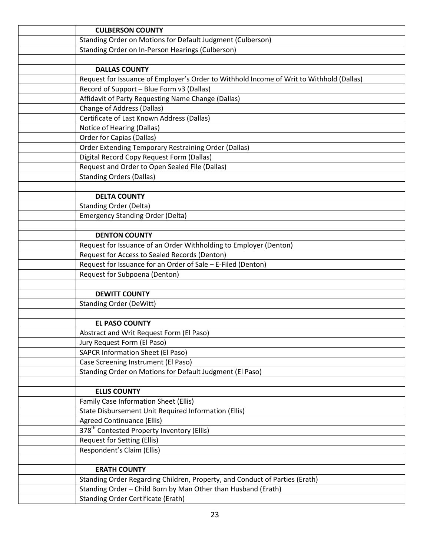| <b>CULBERSON COUNTY</b>                                                                                                                      |
|----------------------------------------------------------------------------------------------------------------------------------------------|
| Standing Order on Motions for Default Judgment (Culberson)                                                                                   |
| Standing Order on In-Person Hearings (Culberson)                                                                                             |
|                                                                                                                                              |
| <b>DALLAS COUNTY</b>                                                                                                                         |
| Request for Issuance of Employer's Order to Withhold Income of Writ to Withhold (Dallas)                                                     |
| Record of Support - Blue Form v3 (Dallas)                                                                                                    |
| Affidavit of Party Requesting Name Change (Dallas)                                                                                           |
| <b>Change of Address (Dallas)</b>                                                                                                            |
| Certificate of Last Known Address (Dallas)                                                                                                   |
| Notice of Hearing (Dallas)                                                                                                                   |
| <b>Order for Capias (Dallas)</b>                                                                                                             |
| Order Extending Temporary Restraining Order (Dallas)                                                                                         |
| Digital Record Copy Request Form (Dallas)                                                                                                    |
| Request and Order to Open Sealed File (Dallas)                                                                                               |
| <b>Standing Orders (Dallas)</b>                                                                                                              |
|                                                                                                                                              |
| <b>DELTA COUNTY</b>                                                                                                                          |
| <b>Standing Order (Delta)</b>                                                                                                                |
| <b>Emergency Standing Order (Delta)</b>                                                                                                      |
|                                                                                                                                              |
| <b>DENTON COUNTY</b>                                                                                                                         |
| Request for Issuance of an Order Withholding to Employer (Denton)                                                                            |
| Request for Access to Sealed Records (Denton)                                                                                                |
| Request for Issuance for an Order of Sale - E-Filed (Denton)                                                                                 |
| Request for Subpoena (Denton)                                                                                                                |
|                                                                                                                                              |
| <b>DEWITT COUNTY</b>                                                                                                                         |
| <b>Standing Order (DeWitt)</b>                                                                                                               |
|                                                                                                                                              |
| <b>EL PASO COUNTY</b>                                                                                                                        |
| Abstract and Writ Request Form (El Paso)                                                                                                     |
| Jury Request Form (El Paso)                                                                                                                  |
| <b>SAPCR Information Sheet (El Paso)</b>                                                                                                     |
| Case Screening Instrument (El Paso)                                                                                                          |
| Standing Order on Motions for Default Judgment (El Paso)                                                                                     |
|                                                                                                                                              |
| <b>ELLIS COUNTY</b>                                                                                                                          |
| Family Case Information Sheet (Ellis)                                                                                                        |
| State Disbursement Unit Required Information (Ellis)                                                                                         |
| <b>Agreed Continuance (Ellis)</b><br>378 <sup>th</sup> Contested Property Inventory (Ellis)                                                  |
|                                                                                                                                              |
| Request for Setting (Ellis)                                                                                                                  |
| Respondent's Claim (Ellis)                                                                                                                   |
| <b>ERATH COUNTY</b>                                                                                                                          |
|                                                                                                                                              |
| Standing Order Regarding Children, Property, and Conduct of Parties (Erath)<br>Standing Order - Child Born by Man Other than Husband (Erath) |
|                                                                                                                                              |
| <b>Standing Order Certificate (Erath)</b>                                                                                                    |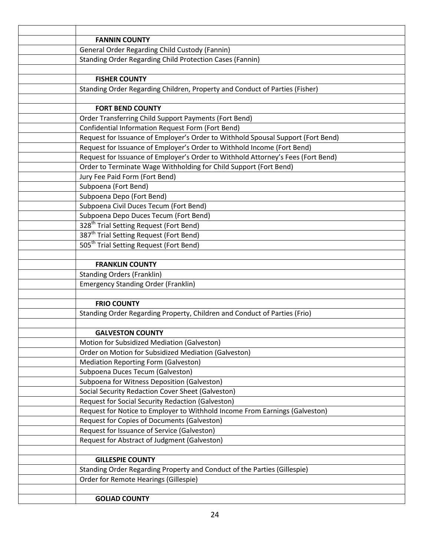| <b>FANNIN COUNTY</b>                                                             |
|----------------------------------------------------------------------------------|
| General Order Regarding Child Custody (Fannin)                                   |
| <b>Standing Order Regarding Child Protection Cases (Fannin)</b>                  |
|                                                                                  |
| <b>FISHER COUNTY</b>                                                             |
| Standing Order Regarding Children, Property and Conduct of Parties (Fisher)      |
|                                                                                  |
| <b>FORT BEND COUNTY</b>                                                          |
| Order Transferring Child Support Payments (Fort Bend)                            |
| Confidential Information Request Form (Fort Bend)                                |
| Request for Issuance of Employer's Order to Withhold Spousal Support (Fort Bend) |
| Request for Issuance of Employer's Order to Withhold Income (Fort Bend)          |
| Request for Issuance of Employer's Order to Withhold Attorney's Fees (Fort Bend) |
| Order to Terminate Wage Withholding for Child Support (Fort Bend)                |
| Jury Fee Paid Form (Fort Bend)                                                   |
| Subpoena (Fort Bend)                                                             |
| Subpoena Depo (Fort Bend)                                                        |
| Subpoena Civil Duces Tecum (Fort Bend)                                           |
| Subpoena Depo Duces Tecum (Fort Bend)                                            |
| 328 <sup>th</sup> Trial Setting Request (Fort Bend)                              |
| 387 <sup>th</sup> Trial Setting Request (Fort Bend)                              |
| 505 <sup>th</sup> Trial Setting Request (Fort Bend)                              |
|                                                                                  |
| <b>FRANKLIN COUNTY</b>                                                           |
| <b>Standing Orders (Franklin)</b>                                                |
| <b>Emergency Standing Order (Franklin)</b>                                       |
| <b>FRIO COUNTY</b>                                                               |
| Standing Order Regarding Property, Children and Conduct of Parties (Frio)        |
|                                                                                  |
| <b>GALVESTON COUNTY</b>                                                          |
| Motion for Subsidized Mediation (Galveston)                                      |
| Order on Motion for Subsidized Mediation (Galveston)                             |
| <b>Mediation Reporting Form (Galveston)</b>                                      |
| Subpoena Duces Tecum (Galveston)                                                 |
| Subpoena for Witness Deposition (Galveston)                                      |
| Social Security Redaction Cover Sheet (Galveston)                                |
| <b>Request for Social Security Redaction (Galveston)</b>                         |
| Request for Notice to Employer to Withhold Income From Earnings (Galveston)      |
| Request for Copies of Documents (Galveston)                                      |
| Request for Issuance of Service (Galveston)                                      |
| Request for Abstract of Judgment (Galveston)                                     |
|                                                                                  |
| <b>GILLESPIE COUNTY</b>                                                          |
| Standing Order Regarding Property and Conduct of the Parties (Gillespie)         |
| Order for Remote Hearings (Gillespie)                                            |
|                                                                                  |
| <b>GOLIAD COUNTY</b>                                                             |
|                                                                                  |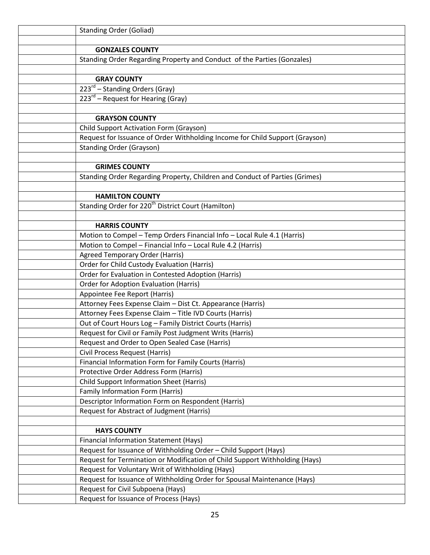| <b>Standing Order (Goliad)</b>                                               |
|------------------------------------------------------------------------------|
|                                                                              |
| <b>GONZALES COUNTY</b>                                                       |
| Standing Order Regarding Property and Conduct of the Parties (Gonzales)      |
|                                                                              |
| <b>GRAY COUNTY</b>                                                           |
| 223 <sup>rd</sup> – Standing Orders (Gray)                                   |
| $223^{rd}$ – Request for Hearing (Gray)                                      |
|                                                                              |
| <b>GRAYSON COUNTY</b>                                                        |
| Child Support Activation Form (Grayson)                                      |
| Request for Issuance of Order Withholding Income for Child Support (Grayson) |
| <b>Standing Order (Grayson)</b>                                              |
|                                                                              |
| <b>GRIMES COUNTY</b>                                                         |
| Standing Order Regarding Property, Children and Conduct of Parties (Grimes)  |
|                                                                              |
| <b>HAMILTON COUNTY</b>                                                       |
| Standing Order for 220 <sup>th</sup> District Court (Hamilton)               |
|                                                                              |
| <b>HARRIS COUNTY</b>                                                         |
| Motion to Compel - Temp Orders Financial Info - Local Rule 4.1 (Harris)      |
| Motion to Compel - Financial Info - Local Rule 4.2 (Harris)                  |
| <b>Agreed Temporary Order (Harris)</b>                                       |
| Order for Child Custody Evaluation (Harris)                                  |
| Order for Evaluation in Contested Adoption (Harris)                          |
| <b>Order for Adoption Evaluation (Harris)</b>                                |
| Appointee Fee Report (Harris)                                                |
| Attorney Fees Expense Claim - Dist Ct. Appearance (Harris)                   |
| Attorney Fees Expense Claim - Title IVD Courts (Harris)                      |
| Out of Court Hours Log - Family District Courts (Harris)                     |
| Request for Civil or Family Post Judgment Writs (Harris)                     |
| Request and Order to Open Sealed Case (Harris)                               |
| Civil Process Request (Harris)                                               |
| Financial Information Form for Family Courts (Harris)                        |
| Protective Order Address Form (Harris)                                       |
| <b>Child Support Information Sheet (Harris)</b>                              |
| Family Information Form (Harris)                                             |
| Descriptor Information Form on Respondent (Harris)                           |
| Request for Abstract of Judgment (Harris)                                    |
|                                                                              |
| <b>HAYS COUNTY</b>                                                           |
| Financial Information Statement (Hays)                                       |
| Request for Issuance of Withholding Order - Child Support (Hays)             |
| Request for Termination or Modification of Child Support Withholding (Hays)  |
| Request for Voluntary Writ of Withholding (Hays)                             |
| Request for Issuance of Withholding Order for Spousal Maintenance (Hays)     |
| Request for Civil Subpoena (Hays)                                            |
| Request for Issuance of Process (Hays)                                       |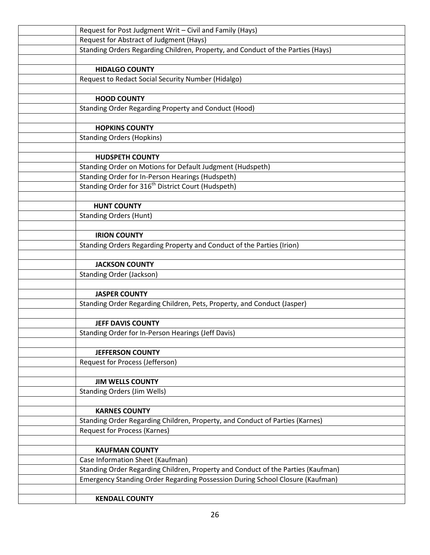| Request for Post Judgment Writ - Civil and Family (Hays)                         |
|----------------------------------------------------------------------------------|
| Request for Abstract of Judgment (Hays)                                          |
| Standing Orders Regarding Children, Property, and Conduct of the Parties (Hays)  |
|                                                                                  |
| <b>HIDALGO COUNTY</b>                                                            |
| Request to Redact Social Security Number (Hidalgo)                               |
|                                                                                  |
| <b>HOOD COUNTY</b>                                                               |
| Standing Order Regarding Property and Conduct (Hood)                             |
|                                                                                  |
| <b>HOPKINS COUNTY</b>                                                            |
| <b>Standing Orders (Hopkins)</b>                                                 |
| <b>HUDSPETH COUNTY</b>                                                           |
| Standing Order on Motions for Default Judgment (Hudspeth)                        |
| Standing Order for In-Person Hearings (Hudspeth)                                 |
| Standing Order for 316 <sup>th</sup> District Court (Hudspeth)                   |
|                                                                                  |
| <b>HUNT COUNTY</b>                                                               |
| <b>Standing Orders (Hunt)</b>                                                    |
|                                                                                  |
| <b>IRION COUNTY</b>                                                              |
| Standing Orders Regarding Property and Conduct of the Parties (Irion)            |
|                                                                                  |
| <b>JACKSON COUNTY</b>                                                            |
| <b>Standing Order (Jackson)</b>                                                  |
|                                                                                  |
| <b>JASPER COUNTY</b>                                                             |
| Standing Order Regarding Children, Pets, Property, and Conduct (Jasper)          |
|                                                                                  |
| <b>JEFF DAVIS COUNTY</b>                                                         |
| Standing Order for In-Person Hearings (Jeff Davis)                               |
|                                                                                  |
| <b>JEFFERSON COUNTY</b>                                                          |
| Request for Process (Jefferson)                                                  |
| <b>JIM WELLS COUNTY</b>                                                          |
| <b>Standing Orders (Jim Wells)</b>                                               |
|                                                                                  |
| <b>KARNES COUNTY</b>                                                             |
| Standing Order Regarding Children, Property, and Conduct of Parties (Karnes)     |
| <b>Request for Process (Karnes)</b>                                              |
|                                                                                  |
| <b>KAUFMAN COUNTY</b>                                                            |
| Case Information Sheet (Kaufman)                                                 |
| Standing Order Regarding Children, Property and Conduct of the Parties (Kaufman) |
| Emergency Standing Order Regarding Possession During School Closure (Kaufman)    |
|                                                                                  |
| <b>KENDALL COUNTY</b>                                                            |
|                                                                                  |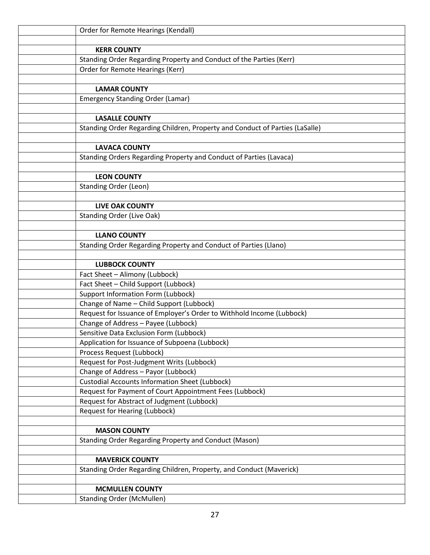| Order for Remote Hearings (Kendall)                                          |
|------------------------------------------------------------------------------|
|                                                                              |
| <b>KERR COUNTY</b>                                                           |
| Standing Order Regarding Property and Conduct of the Parties (Kerr)          |
| Order for Remote Hearings (Kerr)                                             |
|                                                                              |
| <b>LAMAR COUNTY</b>                                                          |
| <b>Emergency Standing Order (Lamar)</b>                                      |
|                                                                              |
| <b>LASALLE COUNTY</b>                                                        |
| Standing Order Regarding Children, Property and Conduct of Parties (LaSalle) |
|                                                                              |
| <b>LAVACA COUNTY</b>                                                         |
| Standing Orders Regarding Property and Conduct of Parties (Lavaca)           |
|                                                                              |
| <b>LEON COUNTY</b>                                                           |
| <b>Standing Order (Leon)</b>                                                 |
|                                                                              |
| <b>LIVE OAK COUNTY</b>                                                       |
| <b>Standing Order (Live Oak)</b>                                             |
| <b>LLANO COUNTY</b>                                                          |
| Standing Order Regarding Property and Conduct of Parties (Llano)             |
|                                                                              |
| <b>LUBBOCK COUNTY</b>                                                        |
| Fact Sheet - Alimony (Lubbock)                                               |
| Fact Sheet - Child Support (Lubbock)                                         |
| <b>Support Information Form (Lubbock)</b>                                    |
| Change of Name - Child Support (Lubbock)                                     |
| Request for Issuance of Employer's Order to Withhold Income (Lubbock)        |
| Change of Address - Payee (Lubbock)                                          |
| Sensitive Data Exclusion Form (Lubbock)                                      |
| Application for Issuance of Subpoena (Lubbock)                               |
| Process Request (Lubbock)                                                    |
| Request for Post-Judgment Writs (Lubbock)                                    |
| Change of Address - Payor (Lubbock)                                          |
| <b>Custodial Accounts Information Sheet (Lubbock)</b>                        |
| Request for Payment of Court Appointment Fees (Lubbock)                      |
| Request for Abstract of Judgment (Lubbock)                                   |
| Request for Hearing (Lubbock)                                                |
|                                                                              |
| <b>MASON COUNTY</b>                                                          |
| Standing Order Regarding Property and Conduct (Mason)                        |
|                                                                              |
| <b>MAVERICK COUNTY</b>                                                       |
| Standing Order Regarding Children, Property, and Conduct (Maverick)          |
|                                                                              |
| <b>MCMULLEN COUNTY</b>                                                       |
| <b>Standing Order (McMullen)</b>                                             |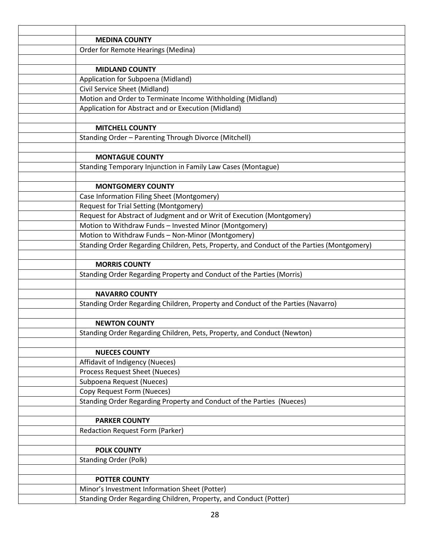| <b>MEDINA COUNTY</b>                                                                                        |
|-------------------------------------------------------------------------------------------------------------|
| Order for Remote Hearings (Medina)                                                                          |
|                                                                                                             |
| <b>MIDLAND COUNTY</b>                                                                                       |
| Application for Subpoena (Midland)                                                                          |
| Civil Service Sheet (Midland)                                                                               |
| Motion and Order to Terminate Income Withholding (Midland)                                                  |
| Application for Abstract and or Execution (Midland)                                                         |
|                                                                                                             |
| <b>MITCHELL COUNTY</b>                                                                                      |
| Standing Order - Parenting Through Divorce (Mitchell)                                                       |
|                                                                                                             |
| <b>MONTAGUE COUNTY</b>                                                                                      |
| Standing Temporary Injunction in Family Law Cases (Montague)                                                |
|                                                                                                             |
| <b>MONTGOMERY COUNTY</b>                                                                                    |
| Case Information Filing Sheet (Montgomery)                                                                  |
| Request for Trial Setting (Montgomery)                                                                      |
| Request for Abstract of Judgment and or Writ of Execution (Montgomery)                                      |
| Motion to Withdraw Funds - Invested Minor (Montgomery)<br>Motion to Withdraw Funds - Non-Minor (Montgomery) |
| Standing Order Regarding Children, Pets, Property, and Conduct of the Parties (Montgomery)                  |
|                                                                                                             |
| <b>MORRIS COUNTY</b>                                                                                        |
| Standing Order Regarding Property and Conduct of the Parties (Morris)                                       |
|                                                                                                             |
| <b>NAVARRO COUNTY</b>                                                                                       |
| Standing Order Regarding Children, Property and Conduct of the Parties (Navarro)                            |
|                                                                                                             |
| <b>NEWTON COUNTY</b>                                                                                        |
| Standing Order Regarding Children, Pets, Property, and Conduct (Newton)                                     |
|                                                                                                             |
| <b>NUECES COUNTY</b>                                                                                        |
| Affidavit of Indigency (Nueces)                                                                             |
| Process Request Sheet (Nueces)                                                                              |
| Subpoena Request (Nueces)                                                                                   |
| Copy Request Form (Nueces)                                                                                  |
| Standing Order Regarding Property and Conduct of the Parties (Nueces)                                       |
|                                                                                                             |
| <b>PARKER COUNTY</b>                                                                                        |
| <b>Redaction Request Form (Parker)</b>                                                                      |
|                                                                                                             |
| <b>POLK COUNTY</b>                                                                                          |
| <b>Standing Order (Polk)</b>                                                                                |
|                                                                                                             |
| <b>POTTER COUNTY</b>                                                                                        |
| Minor's Investment Information Sheet (Potter)                                                               |
| Standing Order Regarding Children, Property, and Conduct (Potter)                                           |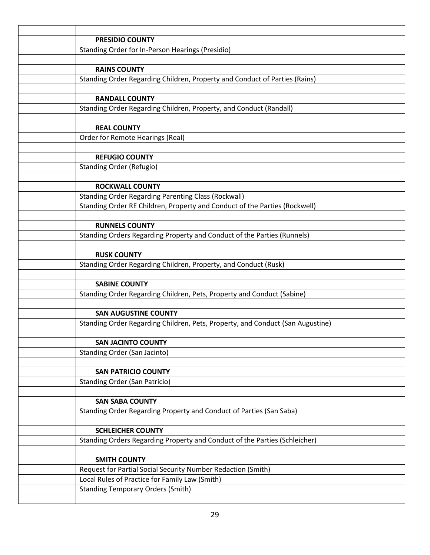| <b>PRESIDIO COUNTY</b>                                                         |
|--------------------------------------------------------------------------------|
| Standing Order for In-Person Hearings (Presidio)                               |
|                                                                                |
| <b>RAINS COUNTY</b>                                                            |
| Standing Order Regarding Children, Property and Conduct of Parties (Rains)     |
|                                                                                |
| <b>RANDALL COUNTY</b>                                                          |
| Standing Order Regarding Children, Property, and Conduct (Randall)             |
|                                                                                |
| <b>REAL COUNTY</b>                                                             |
| Order for Remote Hearings (Real)                                               |
|                                                                                |
| <b>REFUGIO COUNTY</b>                                                          |
| <b>Standing Order (Refugio)</b>                                                |
|                                                                                |
| <b>ROCKWALL COUNTY</b>                                                         |
| <b>Standing Order Regarding Parenting Class (Rockwall)</b>                     |
| Standing Order RE Children, Property and Conduct of the Parties (Rockwell)     |
|                                                                                |
| <b>RUNNELS COUNTY</b>                                                          |
| Standing Orders Regarding Property and Conduct of the Parties (Runnels)        |
|                                                                                |
| <b>RUSK COUNTY</b>                                                             |
| Standing Order Regarding Children, Property, and Conduct (Rusk)                |
|                                                                                |
| <b>SABINE COUNTY</b>                                                           |
| Standing Order Regarding Children, Pets, Property and Conduct (Sabine)         |
|                                                                                |
| <b>SAN AUGUSTINE COUNTY</b>                                                    |
| Standing Order Regarding Children, Pets, Property, and Conduct (San Augustine) |
|                                                                                |
| <b>SAN JACINTO COUNTY</b>                                                      |
| <b>Standing Order (San Jacinto)</b>                                            |
| <b>SAN PATRICIO COUNTY</b>                                                     |
| <b>Standing Order (San Patricio)</b>                                           |
|                                                                                |
| <b>SAN SABA COUNTY</b>                                                         |
| Standing Order Regarding Property and Conduct of Parties (San Saba)            |
|                                                                                |
| <b>SCHLEICHER COUNTY</b>                                                       |
| Standing Orders Regarding Property and Conduct of the Parties (Schleicher)     |
|                                                                                |
| <b>SMITH COUNTY</b>                                                            |
| Request for Partial Social Security Number Redaction (Smith)                   |
| Local Rules of Practice for Family Law (Smith)                                 |
| <b>Standing Temporary Orders (Smith)</b>                                       |
|                                                                                |
|                                                                                |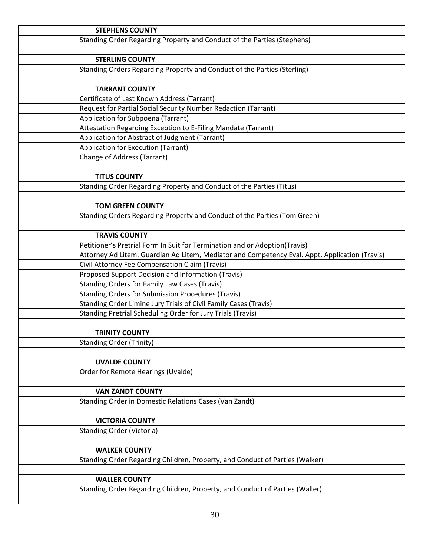| <b>STEPHENS COUNTY</b>                                                                         |
|------------------------------------------------------------------------------------------------|
| Standing Order Regarding Property and Conduct of the Parties (Stephens)                        |
|                                                                                                |
| <b>STERLING COUNTY</b>                                                                         |
| Standing Orders Regarding Property and Conduct of the Parties (Sterling)                       |
|                                                                                                |
| <b>TARRANT COUNTY</b>                                                                          |
| Certificate of Last Known Address (Tarrant)                                                    |
| Request for Partial Social Security Number Redaction (Tarrant)                                 |
| Application for Subpoena (Tarrant)                                                             |
| Attestation Regarding Exception to E-Filing Mandate (Tarrant)                                  |
| Application for Abstract of Judgment (Tarrant)                                                 |
| Application for Execution (Tarrant)                                                            |
| <b>Change of Address (Tarrant)</b>                                                             |
|                                                                                                |
| <b>TITUS COUNTY</b>                                                                            |
| Standing Order Regarding Property and Conduct of the Parties (Titus)                           |
|                                                                                                |
| <b>TOM GREEN COUNTY</b>                                                                        |
| Standing Orders Regarding Property and Conduct of the Parties (Tom Green)                      |
|                                                                                                |
| <b>TRAVIS COUNTY</b>                                                                           |
| Petitioner's Pretrial Form In Suit for Termination and or Adoption(Travis)                     |
| Attorney Ad Litem, Guardian Ad Litem, Mediator and Competency Eval. Appt. Application (Travis) |
| Civil Attorney Fee Compensation Claim (Travis)                                                 |
| Proposed Support Decision and Information (Travis)                                             |
| <b>Standing Orders for Family Law Cases (Travis)</b>                                           |
| <b>Standing Orders for Submission Procedures (Travis)</b>                                      |
| Standing Order Limine Jury Trials of Civil Family Cases (Travis)                               |
| Standing Pretrial Scheduling Order for Jury Trials (Travis)                                    |
|                                                                                                |
| <b>TRINITY COUNTY</b>                                                                          |
| <b>Standing Order (Trinity)</b>                                                                |
|                                                                                                |
| <b>UVALDE COUNTY</b>                                                                           |
| Order for Remote Hearings (Uvalde)                                                             |
|                                                                                                |
| <b>VAN ZANDT COUNTY</b>                                                                        |
| Standing Order in Domestic Relations Cases (Van Zandt)                                         |
|                                                                                                |
| <b>VICTORIA COUNTY</b>                                                                         |
| <b>Standing Order (Victoria)</b>                                                               |
|                                                                                                |
| <b>WALKER COUNTY</b>                                                                           |
| Standing Order Regarding Children, Property, and Conduct of Parties (Walker)                   |
|                                                                                                |
| <b>WALLER COUNTY</b>                                                                           |
| Standing Order Regarding Children, Property, and Conduct of Parties (Waller)                   |
|                                                                                                |